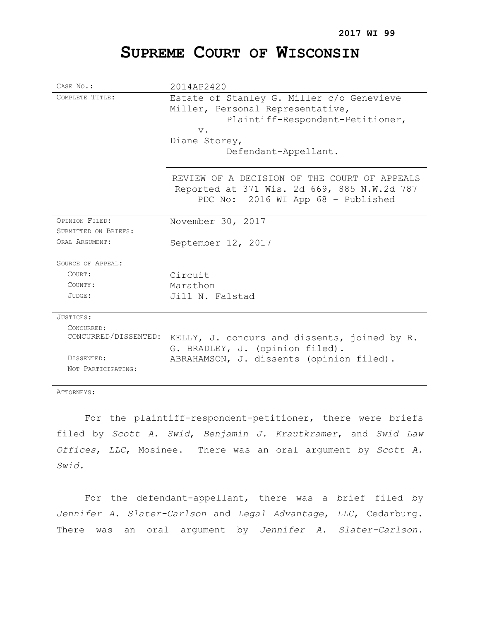# **SUPREME COURT OF WISCONSIN**

| CASE No.:                          | 2014AP2420                                                                                                                        |
|------------------------------------|-----------------------------------------------------------------------------------------------------------------------------------|
| COMPLETE TITLE:                    | Estate of Stanley G. Miller c/o Genevieve<br>Miller, Personal Representative,<br>Plaintiff-Respondent-Petitioner,<br>$V$ .        |
|                                    | Diane Storey,                                                                                                                     |
|                                    | Defendant-Appellant.                                                                                                              |
|                                    | REVIEW OF A DECISION OF THE COURT OF APPEALS<br>Reported at 371 Wis. 2d 669, 885 N.W.2d 787<br>PDC No: 2016 WI App 68 - Published |
| OPINION FILED:                     | November 30, 2017                                                                                                                 |
| SUBMITTED ON BRIEFS:               |                                                                                                                                   |
| ORAL ARGUMENT:                     | September 12, 2017                                                                                                                |
| SOURCE OF APPEAL:                  |                                                                                                                                   |
| COURT:                             | Circuit                                                                                                                           |
| COUNTY:                            | Marathon                                                                                                                          |
| JUDGE:                             | Jill N. Falstad                                                                                                                   |
| JUSTICES:                          |                                                                                                                                   |
| CONCURRED:<br>CONCURRED/DISSENTED: | KELLY, J. concurs and dissents, joined by R.<br>G. BRADLEY, J. (opinion filed).                                                   |
| DISSENTED:<br>NOT PARTICIPATING:   | ABRAHAMSON, J. dissents (opinion filed).                                                                                          |

ATTORNEYS:

For the plaintiff-respondent-petitioner, there were briefs filed by *Scott A. Swid*, *Benjamin J. Krautkramer*, and *Swid Law Offices*, *LLC*, Mosinee. There was an oral argument by *Scott A. Swid.*

For the defendant-appellant, there was a brief filed by *Jennifer A. Slater-Carlson* and *Legal Advantage*, *LLC*, Cedarburg. There was an oral argument by *Jennifer A. Slater-Carlson.*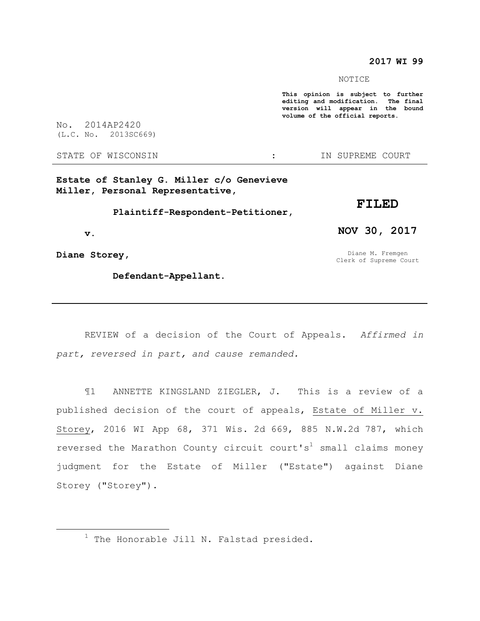### **2017 WI 99**

NOTICE

**This opinion is subject to further editing and modification. The final version will appear in the bound volume of the official reports.** 

No. 2014AP2420 (L.C. No. 2013SC669)

STATE OF WISCONSIN THE RESERVE STATE OF WISCONSIN THE SERVER SOURT

**Estate of Stanley G. Miller c/o Genevieve Miller, Personal Representative,**

 **Plaintiff-Respondent-Petitioner,**

 **v.**

**Diane Storey,**

 $\overline{a}$ 

 **Defendant-Appellant.**

**NOV 30, 2017**

**FILED**

Diane M. Fremgen Clerk of Supreme Court

REVIEW of a decision of the Court of Appeals. *Affirmed in part, reversed in part, and cause remanded.*

¶1 ANNETTE KINGSLAND ZIEGLER, J. This is a review of a published decision of the court of appeals, Estate of Miller v. Storey, 2016 WI App 68, 371 Wis. 2d 669, 885 N.W.2d 787, which reversed the Marathon County circuit court's<sup>1</sup> small claims money judgment for the Estate of Miller ("Estate") against Diane Storey ("Storey").

 $1$  The Honorable Jill N. Falstad presided.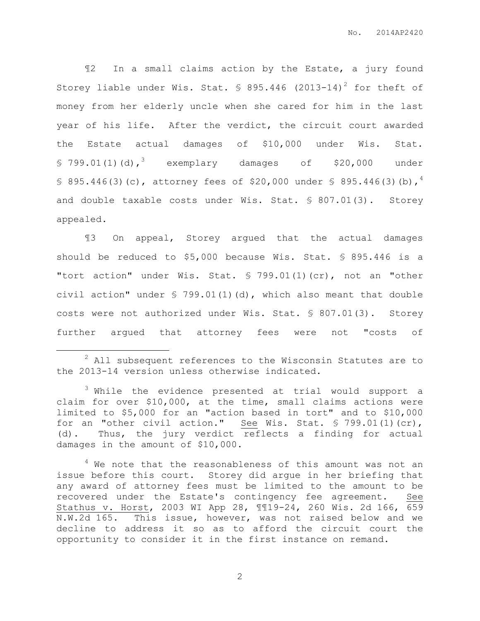¶2 In a small claims action by the Estate, a jury found Storey liable under Wis. Stat.  $\frac{1}{2}$  895.446 (2013-14)<sup>2</sup> for theft of money from her elderly uncle when she cared for him in the last year of his life. After the verdict, the circuit court awarded the Estate actual damages of \$10,000 under Wis. Stat.  $$799.01(1)(d),$ <sup>3</sup> exemplary damages of \$20,000 under § 895.446(3)(c), attorney fees of \$20,000 under § 895.446(3)(b),<sup>4</sup> and double taxable costs under Wis. Stat. § 807.01(3). Storey appealed.

¶3 On appeal, Storey argued that the actual damages should be reduced to \$5,000 because Wis. Stat. § 895.446 is a "tort action" under Wis. Stat. § 799.01(1)(cr), not an "other civil action" under § 799.01(1)(d), which also meant that double costs were not authorized under Wis. Stat. § 807.01(3). Storey further argued that attorney fees were not "costs of

 $\overline{a}$ 

<sup>2</sup> All subsequent references to the Wisconsin Statutes are to the 2013-14 version unless otherwise indicated.

<sup>&</sup>lt;sup>3</sup> While the evidence presented at trial would support a claim for over \$10,000, at the time, small claims actions were limited to \$5,000 for an "action based in tort" and to \$10,000 for an "other civil action." See Wis. Stat. § 799.01(1)(cr), (d). Thus, the jury verdict reflects a finding for actual damages in the amount of \$10,000.

<sup>&</sup>lt;sup>4</sup> We note that the reasonableness of this amount was not an issue before this court. Storey did argue in her briefing that any award of attorney fees must be limited to the amount to be recovered under the Estate's contingency fee agreement. See Stathus v. Horst, 2003 WI App 28, ¶¶19-24, 260 Wis. 2d 166, 659 N.W.2d 165. This issue, however, was not raised below and we decline to address it so as to afford the circuit court the opportunity to consider it in the first instance on remand.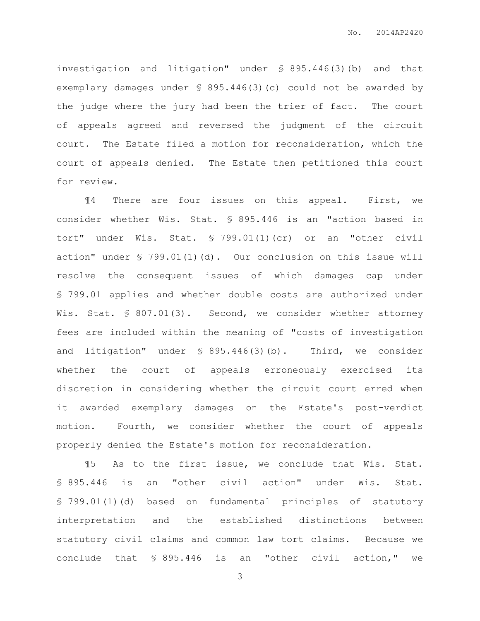investigation and litigation" under § 895.446(3)(b) and that exemplary damages under § 895.446(3)(c) could not be awarded by the judge where the jury had been the trier of fact. The court of appeals agreed and reversed the judgment of the circuit court. The Estate filed a motion for reconsideration, which the court of appeals denied. The Estate then petitioned this court for review.

¶4 There are four issues on this appeal. First, we consider whether Wis. Stat. § 895.446 is an "action based in tort" under Wis. Stat. § 799.01(1)(cr) or an "other civil action" under § 799.01(1)(d). Our conclusion on this issue will resolve the consequent issues of which damages cap under § 799.01 applies and whether double costs are authorized under Wis. Stat. § 807.01(3). Second, we consider whether attorney fees are included within the meaning of "costs of investigation and litigation" under § 895.446(3)(b). Third, we consider whether the court of appeals erroneously exercised its discretion in considering whether the circuit court erred when it awarded exemplary damages on the Estate's post-verdict motion. Fourth, we consider whether the court of appeals properly denied the Estate's motion for reconsideration.

¶5 As to the first issue, we conclude that Wis. Stat. § 895.446 is an "other civil action" under Wis. Stat. § 799.01(1)(d) based on fundamental principles of statutory interpretation and the established distinctions between statutory civil claims and common law tort claims. Because we conclude that § 895.446 is an "other civil action," we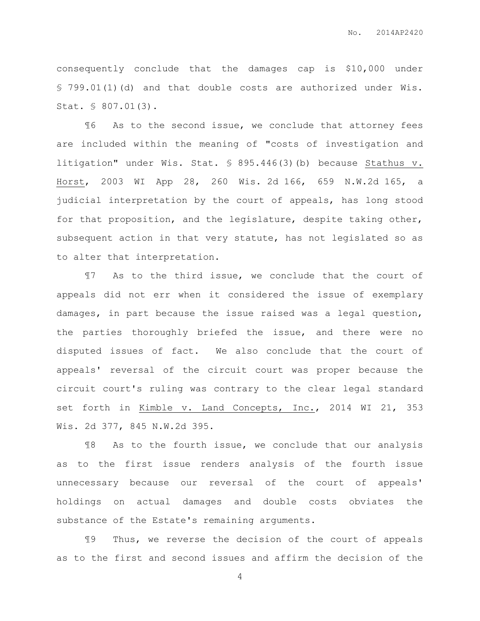consequently conclude that the damages cap is \$10,000 under § 799.01(1)(d) and that double costs are authorized under Wis. Stat. § 807.01(3).

¶6 As to the second issue, we conclude that attorney fees are included within the meaning of "costs of investigation and litigation" under Wis. Stat. § 895.446(3)(b) because Stathus v. Horst, 2003 WI App 28, 260 Wis. 2d 166, 659 N.W.2d 165, a judicial interpretation by the court of appeals, has long stood for that proposition, and the legislature, despite taking other, subsequent action in that very statute, has not legislated so as to alter that interpretation.

¶7 As to the third issue, we conclude that the court of appeals did not err when it considered the issue of exemplary damages, in part because the issue raised was a legal question, the parties thoroughly briefed the issue, and there were no disputed issues of fact. We also conclude that the court of appeals' reversal of the circuit court was proper because the circuit court's ruling was contrary to the clear legal standard set forth in Kimble v. Land Concepts, Inc., 2014 WI 21, 353 Wis. 2d 377, 845 N.W.2d 395.

¶8 As to the fourth issue, we conclude that our analysis as to the first issue renders analysis of the fourth issue unnecessary because our reversal of the court of appeals' holdings on actual damages and double costs obviates the substance of the Estate's remaining arguments.

¶9 Thus, we reverse the decision of the court of appeals as to the first and second issues and affirm the decision of the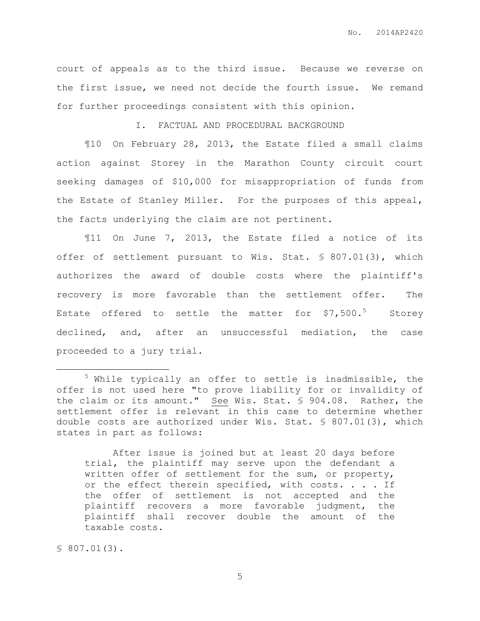court of appeals as to the third issue. Because we reverse on the first issue, we need not decide the fourth issue. We remand for further proceedings consistent with this opinion.

I. FACTUAL AND PROCEDURAL BACKGROUND

¶10 On February 28, 2013, the Estate filed a small claims action against Storey in the Marathon County circuit court seeking damages of \$10,000 for misappropriation of funds from the Estate of Stanley Miller. For the purposes of this appeal, the facts underlying the claim are not pertinent.

¶11 On June 7, 2013, the Estate filed a notice of its offer of settlement pursuant to Wis. Stat. § 807.01(3), which authorizes the award of double costs where the plaintiff's recovery is more favorable than the settlement offer. The Estate offered to settle the matter for  $$7,500.^5$  Storey declined, and, after an unsuccessful mediation, the case proceeded to a jury trial.

After issue is joined but at least 20 days before trial, the plaintiff may serve upon the defendant a written offer of settlement for the sum, or property, or the effect therein specified, with costs. . . . If the offer of settlement is not accepted and the plaintiff recovers a more favorable judgment, the plaintiff shall recover double the amount of the taxable costs.

§ 807.01(3).

 $\overline{a}$ 

<sup>5</sup> While typically an offer to settle is inadmissible, the offer is not used here "to prove liability for or invalidity of the claim or its amount." See Wis. Stat. § 904.08. Rather, the settlement offer is relevant in this case to determine whether double costs are authorized under Wis. Stat. § 807.01(3), which states in part as follows: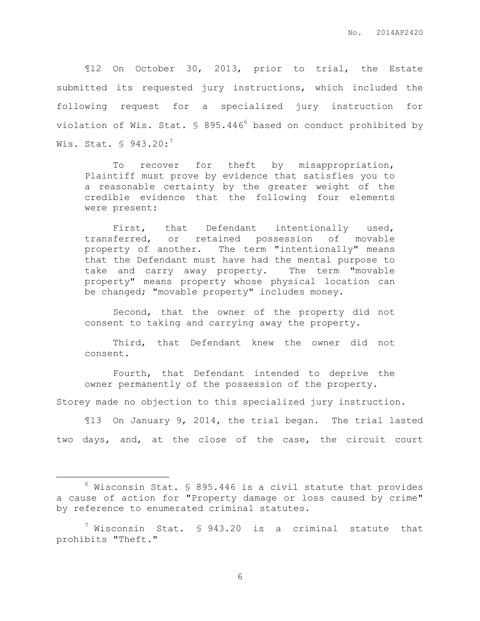¶12 On October 30, 2013, prior to trial, the Estate submitted its requested jury instructions, which included the following request for a specialized jury instruction for violation of Wis. Stat.  $\frac{1}{5}$  895.446<sup>6</sup> based on conduct prohibited by Wis. Stat.  $\text{\$ }943.20:^{7}$ 

To recover for theft by misappropriation, Plaintiff must prove by evidence that satisfies you to a reasonable certainty by the greater weight of the credible evidence that the following four elements were present:

First, that Defendant intentionally used, transferred, or retained possession of movable property of another. The term "intentionally" means that the Defendant must have had the mental purpose to take and carry away property. The term "movable property" means property whose physical location can be changed; "movable property" includes money.

Second, that the owner of the property did not consent to taking and carrying away the property.

Third, that Defendant knew the owner did not consent.

Fourth, that Defendant intended to deprive the owner permanently of the possession of the property.

Storey made no objection to this specialized jury instruction.

¶13 On January 9, 2014, the trial began. The trial lasted two days, and, at the close of the case, the circuit court

 $\overline{a}$ 

 $6$  Wisconsin Stat. § 895.446 is a civil statute that provides a cause of action for "Property damage or loss caused by crime" by reference to enumerated criminal statutes.

 $7$  Wisconsin Stat. § 943.20 is a criminal statute that prohibits "Theft."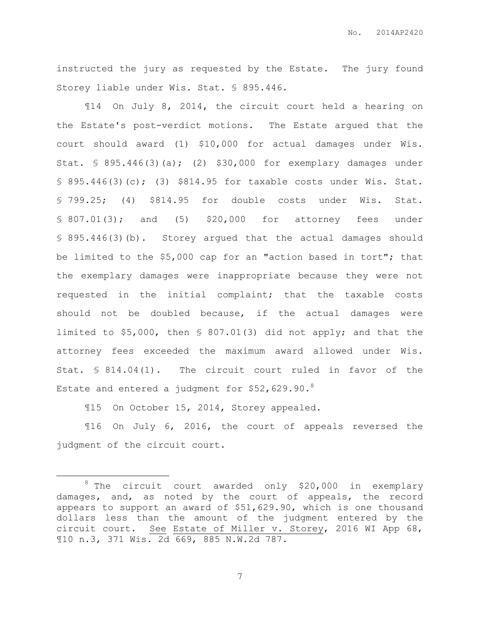instructed the jury as requested by the Estate. The jury found Storey liable under Wis. Stat. § 895.446.

¶14 On July 8, 2014, the circuit court held a hearing on the Estate's post-verdict motions. The Estate argued that the court should award (1) \$10,000 for actual damages under Wis. Stat. § 895.446(3)(a); (2) \$30,000 for exemplary damages under § 895.446(3)(c); (3) \$814.95 for taxable costs under Wis. Stat. § 799.25; (4) \$814.95 for double costs under Wis. Stat. § 807.01(3); and (5) \$20,000 for attorney fees under § 895.446(3)(b). Storey argued that the actual damages should be limited to the \$5,000 cap for an "action based in tort"; that the exemplary damages were inappropriate because they were not requested in the initial complaint; that the taxable costs should not be doubled because, if the actual damages were limited to \$5,000, then § 807.01(3) did not apply; and that the attorney fees exceeded the maximum award allowed under Wis. Stat. § 814.04(1). The circuit court ruled in favor of the Estate and entered a judgment for  $$52,629.90.^8$ 

¶15 On October 15, 2014, Storey appealed.

 $\overline{a}$ 

¶16 On July 6, 2016, the court of appeals reversed the judgment of the circuit court.

 $8$  The circuit court awarded only \$20,000 in exemplary damages, and, as noted by the court of appeals, the record appears to support an award of \$51,629.90, which is one thousand dollars less than the amount of the judgment entered by the circuit court. See Estate of Miller v. Storey, 2016 WI App 68, ¶10 n.3, 371 Wis. 2d 669, 885 N.W.2d 787.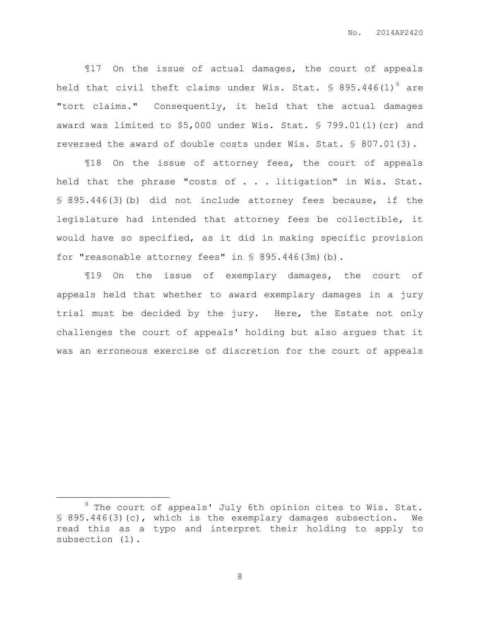¶17 On the issue of actual damages, the court of appeals held that civil theft claims under Wis. Stat.  $\frac{1}{5}$  895.446(1)<sup>9</sup> are "tort claims." Consequently, it held that the actual damages award was limited to \$5,000 under Wis. Stat. § 799.01(1)(cr) and reversed the award of double costs under Wis. Stat. § 807.01(3).

¶18 On the issue of attorney fees, the court of appeals held that the phrase "costs of . . . litigation" in Wis. Stat. § 895.446(3)(b) did not include attorney fees because, if the legislature had intended that attorney fees be collectible, it would have so specified, as it did in making specific provision for "reasonable attorney fees" in § 895.446(3m)(b).

¶19 On the issue of exemplary damages, the court of appeals held that whether to award exemplary damages in a jury trial must be decided by the jury. Here, the Estate not only challenges the court of appeals' holding but also argues that it was an erroneous exercise of discretion for the court of appeals

 $\overline{a}$ 

 $9$  The court of appeals' July 6th opinion cites to Wis. Stat. § 895.446(3)(c), which is the exemplary damages subsection. We read this as a typo and interpret their holding to apply to subsection (1).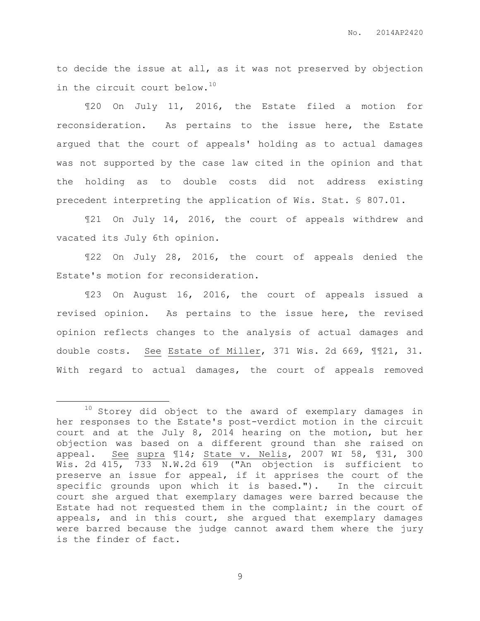to decide the issue at all, as it was not preserved by objection in the circuit court below.<sup>10</sup>

¶20 On July 11, 2016, the Estate filed a motion for reconsideration. As pertains to the issue here, the Estate argued that the court of appeals' holding as to actual damages was not supported by the case law cited in the opinion and that the holding as to double costs did not address existing precedent interpreting the application of Wis. Stat. § 807.01.

¶21 On July 14, 2016, the court of appeals withdrew and vacated its July 6th opinion.

¶22 On July 28, 2016, the court of appeals denied the Estate's motion for reconsideration.

¶23 On August 16, 2016, the court of appeals issued a revised opinion. As pertains to the issue here, the revised opinion reflects changes to the analysis of actual damages and double costs. See Estate of Miller, 371 Wis. 2d 669, ¶¶21, 31. With regard to actual damages, the court of appeals removed

 $\overline{a}$ 

 $10$  Storey did object to the award of exemplary damages in her responses to the Estate's post-verdict motion in the circuit court and at the July 8, 2014 hearing on the motion, but her objection was based on a different ground than she raised on appeal. See supra 114; State v. Nelis, 2007 WI 58, 131, 300 Wis. 2d 415, 733 N.W.2d 619 ("An objection is sufficient to preserve an issue for appeal, if it apprises the court of the specific grounds upon which it is based."). In the circuit court she argued that exemplary damages were barred because the Estate had not requested them in the complaint; in the court of appeals, and in this court, she argued that exemplary damages were barred because the judge cannot award them where the jury is the finder of fact.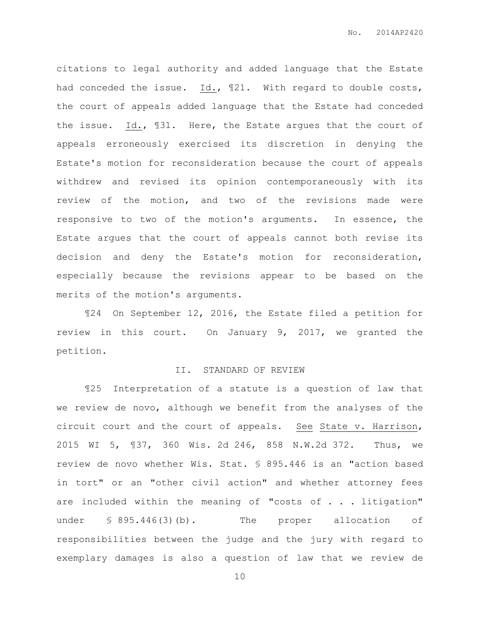citations to legal authority and added language that the Estate had conceded the issue. Id., 121. With regard to double costs, the court of appeals added language that the Estate had conceded the issue. Id., ¶31. Here, the Estate argues that the court of appeals erroneously exercised its discretion in denying the Estate's motion for reconsideration because the court of appeals withdrew and revised its opinion contemporaneously with its review of the motion, and two of the revisions made were responsive to two of the motion's arguments. In essence, the Estate argues that the court of appeals cannot both revise its decision and deny the Estate's motion for reconsideration, especially because the revisions appear to be based on the merits of the motion's arguments.

¶24 On September 12, 2016, the Estate filed a petition for review in this court. On January 9, 2017, we granted the petition.

#### II. STANDARD OF REVIEW

¶25 Interpretation of a statute is a question of law that we review de novo, although we benefit from the analyses of the circuit court and the court of appeals. See State v. Harrison, 2015 WI 5, ¶37, 360 Wis. 2d 246, 858 N.W.2d 372. Thus, we review de novo whether Wis. Stat. § 895.446 is an "action based in tort" or an "other civil action" and whether attorney fees are included within the meaning of "costs of . . . litigation" under § 895.446(3)(b). The proper allocation of responsibilities between the judge and the jury with regard to exemplary damages is also a question of law that we review de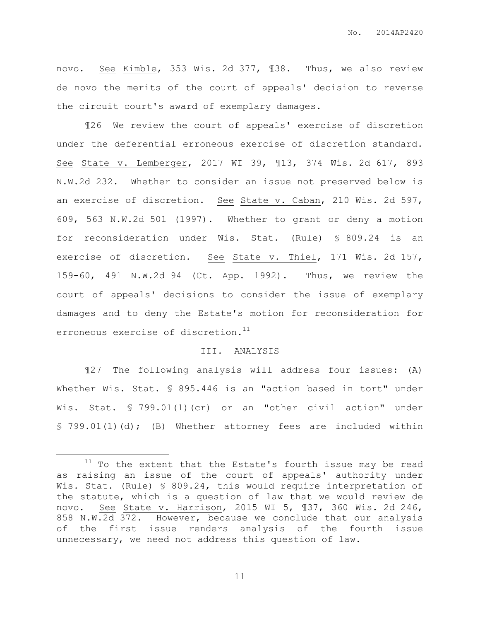novo. See Kimble, 353 Wis. 2d 377, ¶38. Thus, we also review de novo the merits of the court of appeals' decision to reverse the circuit court's award of exemplary damages.

¶26 We review the court of appeals' exercise of discretion under the deferential erroneous exercise of discretion standard. See State v. Lemberger, 2017 WI 39, ¶13, 374 Wis. 2d 617, 893 N.W.2d 232. Whether to consider an issue not preserved below is an exercise of discretion. See State v. Caban, 210 Wis. 2d 597, 609, 563 N.W.2d 501 (1997). Whether to grant or deny a motion for reconsideration under Wis. Stat. (Rule) § 809.24 is an exercise of discretion. See State v. Thiel, 171 Wis. 2d 157, 159-60, 491 N.W.2d 94 (Ct. App. 1992). Thus, we review the court of appeals' decisions to consider the issue of exemplary damages and to deny the Estate's motion for reconsideration for erroneous exercise of discretion.<sup>11</sup>

#### III. ANALYSIS

¶27 The following analysis will address four issues: (A) Whether Wis. Stat. § 895.446 is an "action based in tort" under Wis. Stat. § 799.01(1)(cr) or an "other civil action" under § 799.01(1)(d); (B) Whether attorney fees are included within

 $\overline{a}$ 

 $11$  To the extent that the Estate's fourth issue may be read as raising an issue of the court of appeals' authority under Wis. Stat. (Rule) § 809.24, this would require interpretation of the statute, which is a question of law that we would review de novo. See State v. Harrison, 2015 WI 5, ¶37, 360 Wis. 2d 246, 858 N.W.2d 372. However, because we conclude that our analysis of the first issue renders analysis of the fourth issue unnecessary, we need not address this question of law.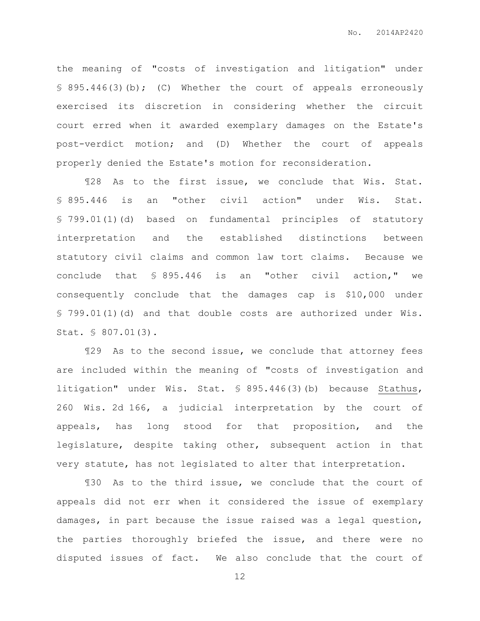the meaning of "costs of investigation and litigation" under § 895.446(3)(b); (C) Whether the court of appeals erroneously exercised its discretion in considering whether the circuit court erred when it awarded exemplary damages on the Estate's post-verdict motion; and (D) Whether the court of appeals properly denied the Estate's motion for reconsideration.

¶28 As to the first issue, we conclude that Wis. Stat. § 895.446 is an "other civil action" under Wis. Stat. § 799.01(1)(d) based on fundamental principles of statutory interpretation and the established distinctions between statutory civil claims and common law tort claims. Because we conclude that § 895.446 is an "other civil action," we consequently conclude that the damages cap is \$10,000 under § 799.01(1)(d) and that double costs are authorized under Wis. Stat. § 807.01(3).

¶29 As to the second issue, we conclude that attorney fees are included within the meaning of "costs of investigation and litigation" under Wis. Stat. § 895.446(3)(b) because Stathus, 260 Wis. 2d 166, a judicial interpretation by the court of appeals, has long stood for that proposition, and the legislature, despite taking other, subsequent action in that very statute, has not legislated to alter that interpretation.

¶30 As to the third issue, we conclude that the court of appeals did not err when it considered the issue of exemplary damages, in part because the issue raised was a legal question, the parties thoroughly briefed the issue, and there were no disputed issues of fact. We also conclude that the court of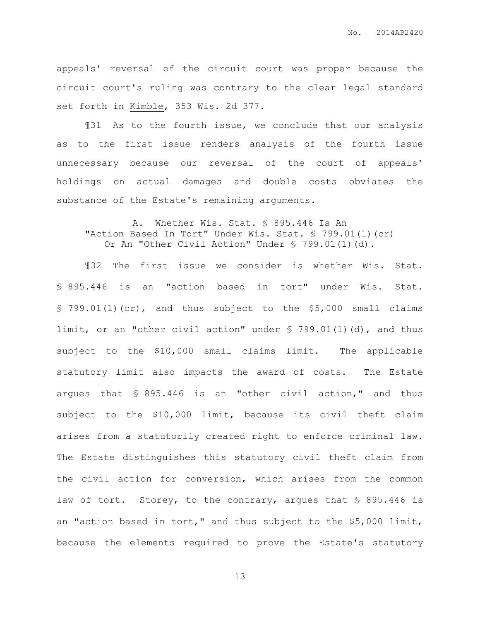appeals' reversal of the circuit court was proper because the circuit court's ruling was contrary to the clear legal standard set forth in Kimble, 353 Wis. 2d 377.

¶31 As to the fourth issue, we conclude that our analysis as to the first issue renders analysis of the fourth issue unnecessary because our reversal of the court of appeals' holdings on actual damages and double costs obviates the substance of the Estate's remaining arguments.

A. Whether Wis. Stat. § 895.446 Is An "Action Based In Tort" Under Wis. Stat. § 799.01(1)(cr) Or An "Other Civil Action" Under § 799.01(1)(d).

¶32 The first issue we consider is whether Wis. Stat. § 895.446 is an "action based in tort" under Wis. Stat.  $$ 799.01(1)(cr)$ , and thus subject to the \$5,000 small claims limit, or an "other civil action" under  $\frac{1}{5}$  799.01(1)(d), and thus subject to the \$10,000 small claims limit. The applicable statutory limit also impacts the award of costs. The Estate argues that § 895.446 is an "other civil action," and thus subject to the \$10,000 limit, because its civil theft claim arises from a statutorily created right to enforce criminal law. The Estate distinguishes this statutory civil theft claim from the civil action for conversion, which arises from the common law of tort. Storey, to the contrary, argues that § 895.446 is an "action based in tort," and thus subject to the \$5,000 limit, because the elements required to prove the Estate's statutory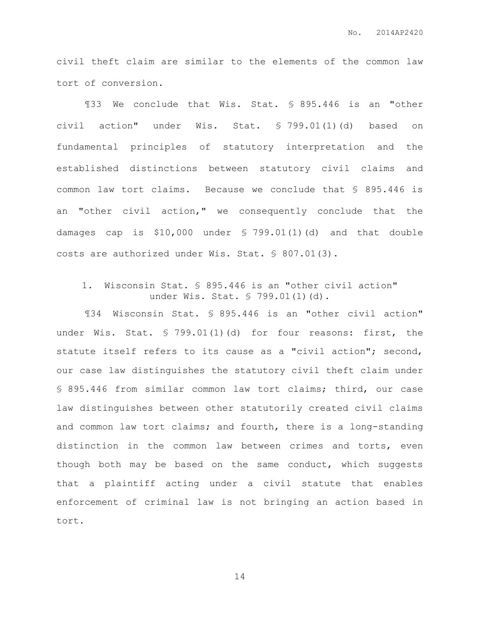civil theft claim are similar to the elements of the common law tort of conversion.

¶33 We conclude that Wis. Stat. § 895.446 is an "other civil action" under Wis. Stat. § 799.01(1)(d) based on fundamental principles of statutory interpretation and the established distinctions between statutory civil claims and common law tort claims. Because we conclude that § 895.446 is an "other civil action," we consequently conclude that the damages cap is \$10,000 under § 799.01(1)(d) and that double costs are authorized under Wis. Stat. § 807.01(3).

## 1. Wisconsin Stat. § 895.446 is an "other civil action" under Wis. Stat. § 799.01(1)(d).

¶34 Wisconsin Stat. § 895.446 is an "other civil action" under Wis. Stat. § 799.01(1)(d) for four reasons: first, the statute itself refers to its cause as a "civil action"; second, our case law distinguishes the statutory civil theft claim under § 895.446 from similar common law tort claims; third, our case law distinguishes between other statutorily created civil claims and common law tort claims; and fourth, there is a long-standing distinction in the common law between crimes and torts, even though both may be based on the same conduct, which suggests that a plaintiff acting under a civil statute that enables enforcement of criminal law is not bringing an action based in tort.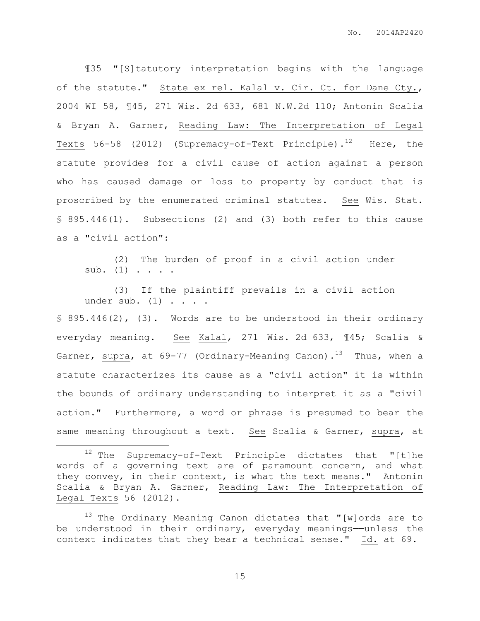¶35 "[S]tatutory interpretation begins with the language of the statute." State ex rel. Kalal v. Cir. Ct. for Dane Cty., 2004 WI 58, ¶45, 271 Wis. 2d 633, 681 N.W.2d 110; Antonin Scalia & Bryan A. Garner, Reading Law: The Interpretation of Legal Texts 56-58 (2012) (Supremacy-of-Text Principle).<sup>12</sup> Here, the statute provides for a civil cause of action against a person who has caused damage or loss to property by conduct that is proscribed by the enumerated criminal statutes. See Wis. Stat. § 895.446(1). Subsections (2) and (3) both refer to this cause as a "civil action":

(2) The burden of proof in a civil action under sub.  $(1)$  . . . .

(3) If the plaintiff prevails in a civil action under sub.  $(1)$  . . . .

§ 895.446(2), (3). Words are to be understood in their ordinary everyday meaning. See Kalal, 271 Wis. 2d 633, ¶45; Scalia & Garner, supra, at 69-77 (Ordinary-Meaning Canon).<sup>13</sup> Thus, when a statute characterizes its cause as a "civil action" it is within the bounds of ordinary understanding to interpret it as a "civil action." Furthermore, a word or phrase is presumed to bear the same meaning throughout a text. See Scalia & Garner, supra, at

 $\overline{a}$ 

 $13$  The Ordinary Meaning Canon dictates that "[w]ords are to be understood in their ordinary, everyday meanings—unless the context indicates that they bear a technical sense." Id. at 69.

 $12$  The Supremacy-of-Text Principle dictates that "[t]he words of a governing text are of paramount concern, and what they convey, in their context, is what the text means." Antonin Scalia & Bryan A. Garner, Reading Law: The Interpretation of Legal Texts 56 (2012).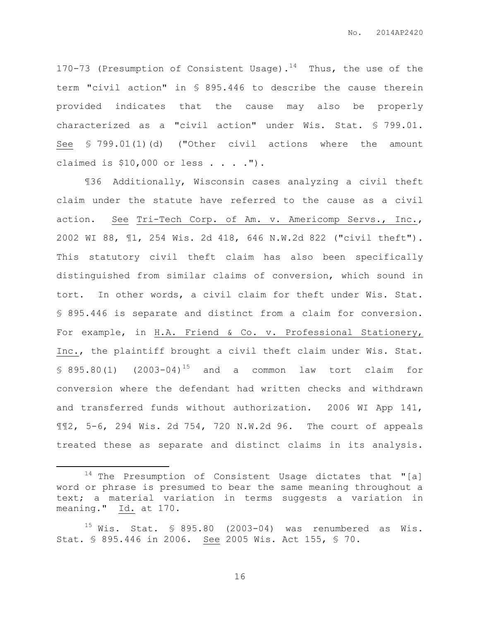170-73 (Presumption of Consistent Usage).<sup>14</sup> Thus, the use of the term "civil action" in § 895.446 to describe the cause therein provided indicates that the cause may also be properly characterized as a "civil action" under Wis. Stat. § 799.01. See § 799.01(1)(d) ("Other civil actions where the amount claimed is  $$10,000$  or less . . . . ").

¶36 Additionally, Wisconsin cases analyzing a civil theft claim under the statute have referred to the cause as a civil action. See Tri-Tech Corp. of Am. v. Americomp Servs., Inc., 2002 WI 88, ¶1, 254 Wis. 2d 418, 646 N.W.2d 822 ("civil theft"). This statutory civil theft claim has also been specifically distinguished from similar claims of conversion, which sound in tort. In other words, a civil claim for theft under Wis. Stat. § 895.446 is separate and distinct from a claim for conversion. For example, in H.A. Friend & Co. v. Professional Stationery, Inc., the plaintiff brought a civil theft claim under Wis. Stat.  $$895.80(1)$   $(2003-04)^{15}$  and a common law tort claim for conversion where the defendant had written checks and withdrawn and transferred funds without authorization. 2006 WI App 141, ¶¶2, 5-6, 294 Wis. 2d 754, 720 N.W.2d 96. The court of appeals treated these as separate and distinct claims in its analysis.

 $\overline{a}$ 

<sup>14</sup> The Presumption of Consistent Usage dictates that "[a] word or phrase is presumed to bear the same meaning throughout a text; a material variation in terms suggests a variation in meaning." Id. at 170.

 $15$  Wis. Stat. § 895.80 (2003-04) was renumbered as Wis. Stat. § 895.446 in 2006. See 2005 Wis. Act 155, § 70.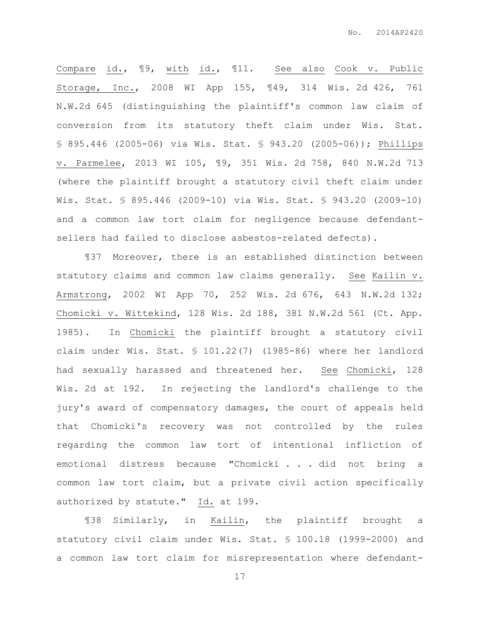Compare id., ¶9, with id., ¶11. See also Cook v. Public Storage, Inc., 2008 WI App 155, ¶49, 314 Wis. 2d 426, 761 N.W.2d 645 (distinguishing the plaintiff's common law claim of conversion from its statutory theft claim under Wis. Stat. § 895.446 (2005-06) via Wis. Stat. § 943.20 (2005-06)); Phillips v. Parmelee, 2013 WI 105, ¶9, 351 Wis. 2d 758, 840 N.W.2d 713 (where the plaintiff brought a statutory civil theft claim under Wis. Stat. § 895.446 (2009-10) via Wis. Stat. § 943.20 (2009-10) and a common law tort claim for negligence because defendantsellers had failed to disclose asbestos-related defects).

¶37 Moreover, there is an established distinction between statutory claims and common law claims generally. See Kailin v. Armstrong, 2002 WI App 70, 252 Wis. 2d 676, 643 N.W.2d 132; Chomicki v. Wittekind, 128 Wis. 2d 188, 381 N.W.2d 561 (Ct. App. 1985). In Chomicki the plaintiff brought a statutory civil claim under Wis. Stat. § 101.22(7) (1985-86) where her landlord had sexually harassed and threatened her. See Chomicki, 128 Wis. 2d at 192. In rejecting the landlord's challenge to the jury's award of compensatory damages, the court of appeals held that Chomicki's recovery was not controlled by the rules regarding the common law tort of intentional infliction of emotional distress because "Chomicki . . . did not bring a common law tort claim, but a private civil action specifically authorized by statute." Id. at 199.

¶38 Similarly, in Kailin, the plaintiff brought a statutory civil claim under Wis. Stat. § 100.18 (1999-2000) and a common law tort claim for misrepresentation where defendant-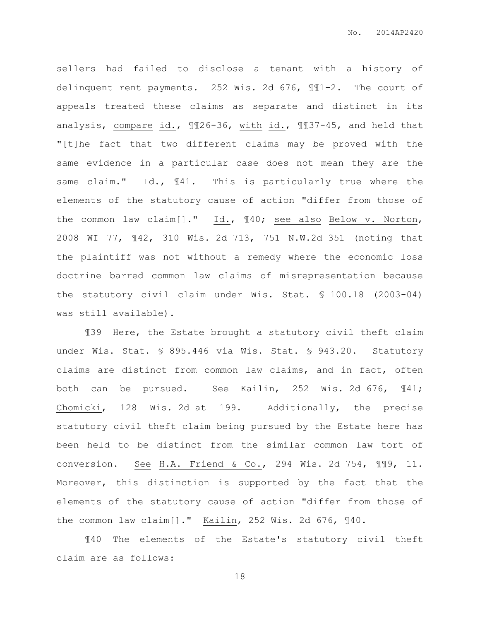sellers had failed to disclose a tenant with a history of delinquent rent payments. 252 Wis. 2d 676, ¶¶1-2. The court of appeals treated these claims as separate and distinct in its analysis, compare id., II26-36, with id., II37-45, and held that "[t]he fact that two different claims may be proved with the same evidence in a particular case does not mean they are the same claim." Id., ¶41. This is particularly true where the elements of the statutory cause of action "differ from those of the common law claim[]." Id., ¶40; see also Below v. Norton, 2008 WI 77, ¶42, 310 Wis. 2d 713, 751 N.W.2d 351 (noting that the plaintiff was not without a remedy where the economic loss doctrine barred common law claims of misrepresentation because the statutory civil claim under Wis. Stat. § 100.18 (2003-04) was still available).

¶39 Here, the Estate brought a statutory civil theft claim under Wis. Stat. § 895.446 via Wis. Stat. § 943.20. Statutory claims are distinct from common law claims, and in fact, often both can be pursued. See  $Kailin, 252$  Wis. 2d 676,  $\P{41;}$ Chomicki, 128 Wis. 2d at 199. Additionally, the precise statutory civil theft claim being pursued by the Estate here has been held to be distinct from the similar common law tort of conversion. See H.A. Friend & Co., 294 Wis. 2d 754, ¶¶9, 11. Moreover, this distinction is supported by the fact that the elements of the statutory cause of action "differ from those of the common law claim[]." Kailin, 252 Wis. 2d 676, ¶40.

¶40 The elements of the Estate's statutory civil theft claim are as follows: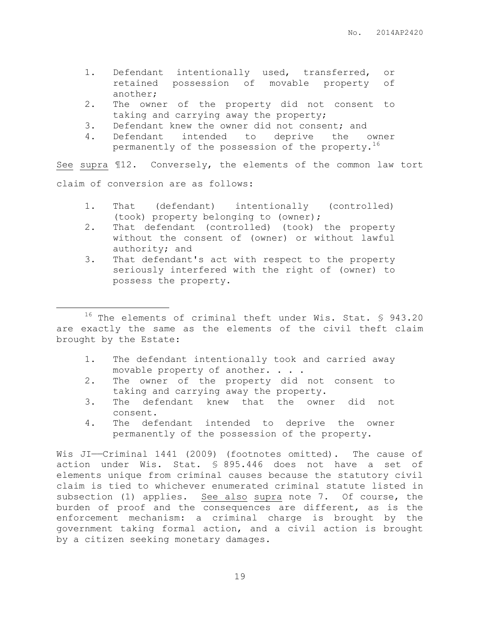- 1. Defendant intentionally used, transferred, or retained possession of movable property of another;
- 2. The owner of the property did not consent to taking and carrying away the property;
- 3. Defendant knew the owner did not consent; and
- 4. Defendant intended to deprive the owner permanently of the possession of the property.<sup>16</sup>

See supra ¶12. Conversely, the elements of the common law tort claim of conversion are as follows:

- 1. That (defendant) intentionally (controlled) (took) property belonging to (owner);
- 2. That defendant (controlled) (took) the property without the consent of (owner) or without lawful authority; and
- 3. That defendant's act with respect to the property seriously interfered with the right of (owner) to possess the property.

<sup>16</sup> The elements of criminal theft under Wis. Stat. § 943.20 are exactly the same as the elements of the civil theft claim brought by the Estate:

 $\overline{a}$ 

- 1. The defendant intentionally took and carried away movable property of another. . . .
- 2. The owner of the property did not consent to taking and carrying away the property.
- 3. The defendant knew that the owner did not consent.
- 4. The defendant intended to deprive the owner permanently of the possession of the property.

Wis JI-Criminal 1441 (2009) (footnotes omitted). The cause of action under Wis. Stat. § 895.446 does not have a set of elements unique from criminal causes because the statutory civil claim is tied to whichever enumerated criminal statute listed in subsection (1) applies. See also supra note 7. Of course, the burden of proof and the consequences are different, as is the enforcement mechanism: a criminal charge is brought by the government taking formal action, and a civil action is brought by a citizen seeking monetary damages.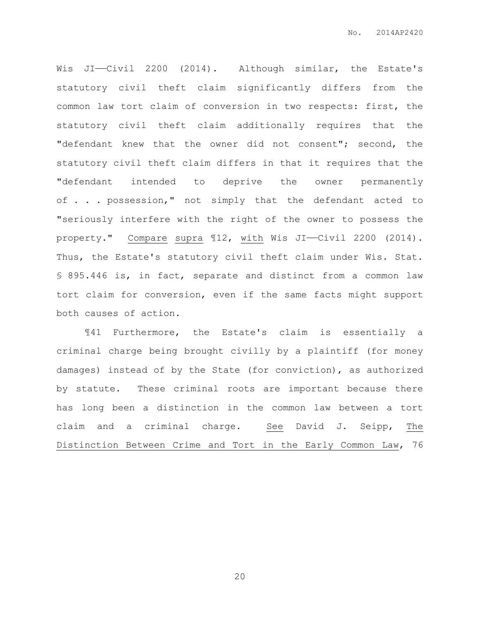Wis JI-Civil 2200 (2014). Although similar, the Estate's statutory civil theft claim significantly differs from the common law tort claim of conversion in two respects: first, the statutory civil theft claim additionally requires that the "defendant knew that the owner did not consent"; second, the statutory civil theft claim differs in that it requires that the "defendant intended to deprive the owner permanently of . . . possession," not simply that the defendant acted to "seriously interfere with the right of the owner to possess the property." Compare supra ¶12, with Wis JI——Civil 2200 (2014). Thus, the Estate's statutory civil theft claim under Wis. Stat. § 895.446 is, in fact, separate and distinct from a common law tort claim for conversion, even if the same facts might support both causes of action.

¶41 Furthermore, the Estate's claim is essentially a criminal charge being brought civilly by a plaintiff (for money damages) instead of by the State (for conviction), as authorized by statute. These criminal roots are important because there has long been a distinction in the common law between a tort claim and a criminal charge. See David J. Seipp, The Distinction Between Crime and Tort in the Early Common Law, 76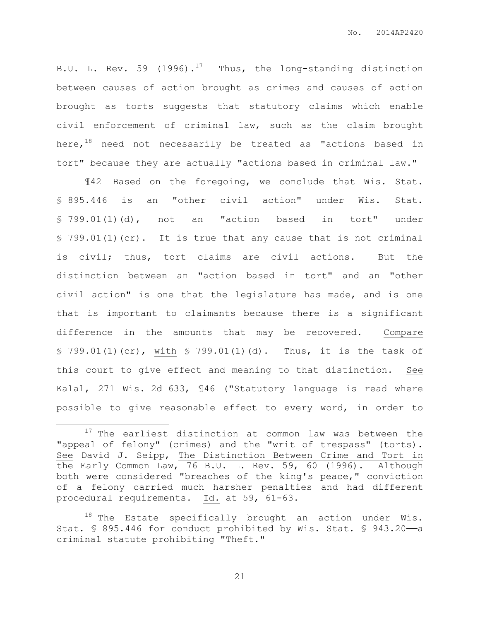B.U. L. Rev. 59 (1996).<sup>17</sup> Thus, the long-standing distinction between causes of action brought as crimes and causes of action brought as torts suggests that statutory claims which enable civil enforcement of criminal law, such as the claim brought here,<sup>18</sup> need not necessarily be treated as "actions based in tort" because they are actually "actions based in criminal law."

¶42 Based on the foregoing, we conclude that Wis. Stat. § 895.446 is an "other civil action" under Wis. Stat. § 799.01(1)(d), not an "action based in tort" under § 799.01(1)(cr). It is true that any cause that is not criminal is civil; thus, tort claims are civil actions. But the distinction between an "action based in tort" and an "other civil action" is one that the legislature has made, and is one that is important to claimants because there is a significant difference in the amounts that may be recovered. Compare § 799.01(1)(cr), with § 799.01(1)(d). Thus, it is the task of this court to give effect and meaning to that distinction. See Kalal, 271 Wis. 2d 633, ¶46 ("Statutory language is read where possible to give reasonable effect to every word, in order to

 $\overline{a}$ 

 $17$  The earliest distinction at common law was between the "appeal of felony" (crimes) and the "writ of trespass" (torts). See David J. Seipp, The Distinction Between Crime and Tort in the Early Common Law, 76 B.U. L. Rev. 59, 60 (1996). Although both were considered "breaches of the king's peace," conviction of a felony carried much harsher penalties and had different procedural requirements. Id. at 59, 61-63.

 $18$  The Estate specifically brought an action under Wis. Stat. § 895.446 for conduct prohibited by Wis. Stat. § 943.20-a criminal statute prohibiting "Theft."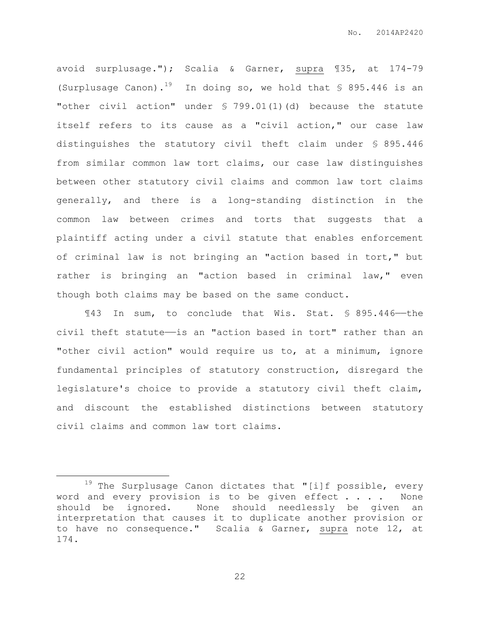avoid surplusage."); Scalia & Garner, supra ¶35, at 174-79 (Surplusage Canon).<sup>19</sup> In doing so, we hold that  $\frac{1}{5}$  895.446 is an "other civil action" under § 799.01(1)(d) because the statute itself refers to its cause as a "civil action," our case law distinguishes the statutory civil theft claim under § 895.446 from similar common law tort claims, our case law distinguishes between other statutory civil claims and common law tort claims generally, and there is a long-standing distinction in the common law between crimes and torts that suggests that a plaintiff acting under a civil statute that enables enforcement of criminal law is not bringing an "action based in tort," but rather is bringing an "action based in criminal law," even though both claims may be based on the same conduct.

¶43 In sum, to conclude that Wis. Stat. § 895.446——the civil theft statute——is an "action based in tort" rather than an "other civil action" would require us to, at a minimum, ignore fundamental principles of statutory construction, disregard the legislature's choice to provide a statutory civil theft claim, and discount the established distinctions between statutory civil claims and common law tort claims.

 $\overline{a}$ 

 $19$  The Surplusage Canon dictates that "[i]f possible, every word and every provision is to be given effect . . . . None should be ignored. None should needlessly be given an interpretation that causes it to duplicate another provision or to have no consequence." Scalia & Garner, supra note 12, at 174.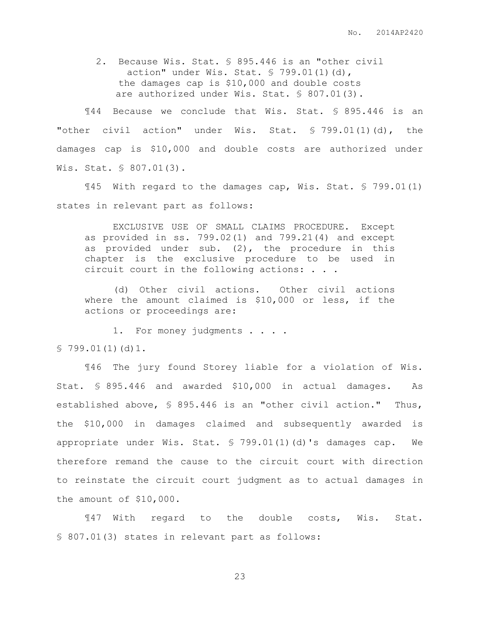2. Because Wis. Stat. § 895.446 is an "other civil action" under Wis. Stat. § 799.01(1)(d), the damages cap is \$10,000 and double costs are authorized under Wis. Stat. § 807.01(3).

¶44 Because we conclude that Wis. Stat. § 895.446 is an "other civil action" under Wis. Stat. § 799.01(1)(d), the damages cap is \$10,000 and double costs are authorized under Wis. Stat. § 807.01(3).

¶45 With regard to the damages cap, Wis. Stat. § 799.01(1) states in relevant part as follows:

EXCLUSIVE USE OF SMALL CLAIMS PROCEDURE. Except as provided in ss. 799.02(1) and 799.21(4) and except as provided under sub. (2), the procedure in this chapter is the exclusive procedure to be used in circuit court in the following actions: . . .

(d) Other civil actions. Other civil actions where the amount claimed is \$10,000 or less, if the actions or proceedings are:

1. For money judgments . . . . § 799.01(1)(d)1.

¶46 The jury found Storey liable for a violation of Wis. Stat. § 895.446 and awarded \$10,000 in actual damages. As established above, § 895.446 is an "other civil action." Thus, the \$10,000 in damages claimed and subsequently awarded is appropriate under Wis. Stat. § 799.01(1)(d)'s damages cap. We therefore remand the cause to the circuit court with direction to reinstate the circuit court judgment as to actual damages in the amount of \$10,000.

¶47 With regard to the double costs, Wis. Stat. § 807.01(3) states in relevant part as follows: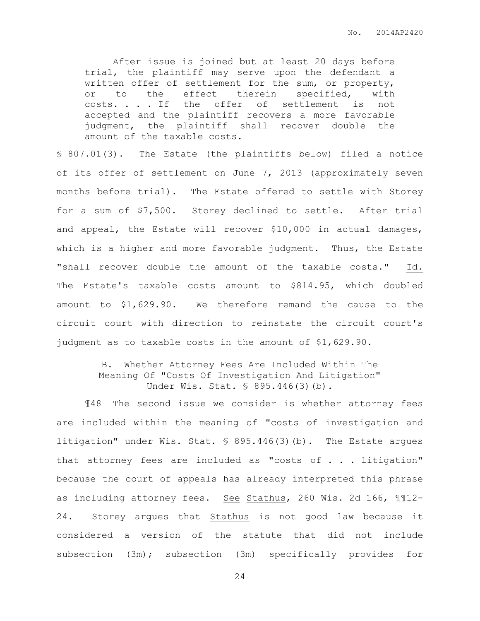After issue is joined but at least 20 days before trial, the plaintiff may serve upon the defendant a written offer of settlement for the sum, or property, or to the effect therein specified, with costs. . . . If the offer of settlement is not accepted and the plaintiff recovers a more favorable judgment, the plaintiff shall recover double the amount of the taxable costs.

§ 807.01(3). The Estate (the plaintiffs below) filed a notice of its offer of settlement on June 7, 2013 (approximately seven months before trial). The Estate offered to settle with Storey for a sum of \$7,500. Storey declined to settle. After trial and appeal, the Estate will recover \$10,000 in actual damages, which is a higher and more favorable judgment. Thus, the Estate "shall recover double the amount of the taxable costs." Id. The Estate's taxable costs amount to \$814.95, which doubled amount to \$1,629.90. We therefore remand the cause to the circuit court with direction to reinstate the circuit court's judgment as to taxable costs in the amount of \$1,629.90.

## B. Whether Attorney Fees Are Included Within The Meaning Of "Costs Of Investigation And Litigation" Under Wis. Stat. § 895.446(3)(b).

¶48 The second issue we consider is whether attorney fees are included within the meaning of "costs of investigation and litigation" under Wis. Stat. § 895.446(3)(b). The Estate argues that attorney fees are included as "costs of . . . litigation" because the court of appeals has already interpreted this phrase as including attorney fees. See Stathus, 260 Wis. 2d 166, ¶¶12- 24. Storey argues that Stathus is not good law because it considered a version of the statute that did not include subsection (3m); subsection (3m) specifically provides for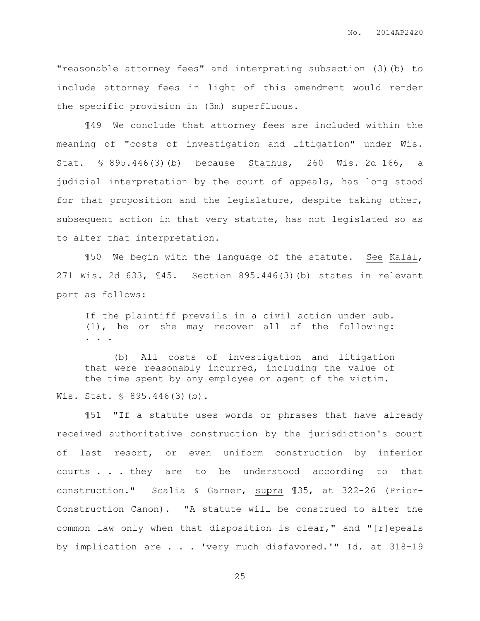"reasonable attorney fees" and interpreting subsection (3)(b) to include attorney fees in light of this amendment would render the specific provision in (3m) superfluous.

¶49 We conclude that attorney fees are included within the meaning of "costs of investigation and litigation" under Wis. Stat. § 895.446(3)(b) because Stathus, 260 Wis. 2d 166, a judicial interpretation by the court of appeals, has long stood for that proposition and the legislature, despite taking other, subsequent action in that very statute, has not legislated so as to alter that interpretation.

¶50 We begin with the language of the statute. See Kalal, 271 Wis. 2d 633, ¶45. Section 895.446(3)(b) states in relevant part as follows:

If the plaintiff prevails in a civil action under sub. (1), he or she may recover all of the following: . . .

(b) All costs of investigation and litigation that were reasonably incurred, including the value of the time spent by any employee or agent of the victim. Wis. Stat. § 895.446(3)(b).

¶51 "If a statute uses words or phrases that have already received authoritative construction by the jurisdiction's court of last resort, or even uniform construction by inferior courts . . . they are to be understood according to that construction." Scalia & Garner, supra ¶35, at 322-26 (Prior-Construction Canon). "A statute will be construed to alter the common law only when that disposition is clear," and "[r]epeals by implication are . . . 'very much disfavored.'" Id. at 318-19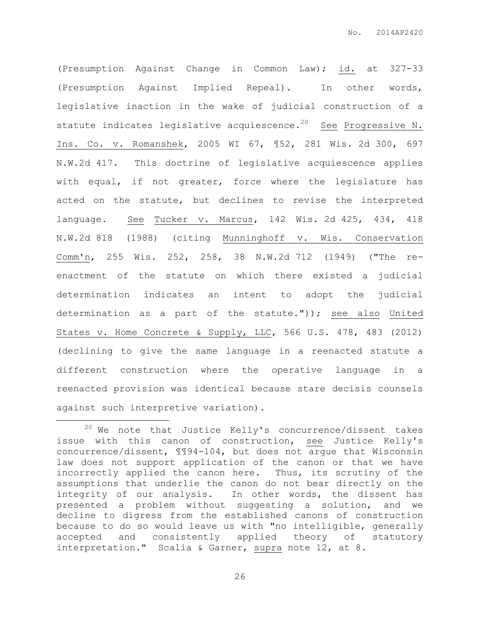(Presumption Against Change in Common Law); id. at 327-33 (Presumption Against Implied Repeal). In other words, legislative inaction in the wake of judicial construction of a statute indicates legislative acquiescence.<sup>20</sup> See Progressive N. Ins. Co. v. Romanshek, 2005 WI 67, ¶52, 281 Wis. 2d 300, 697 N.W.2d 417. This doctrine of legislative acquiescence applies with equal, if not greater, force where the legislature has acted on the statute, but declines to revise the interpreted language. See Tucker v. Marcus, 142 Wis. 2d 425, 434, 418 N.W.2d 818 (1988) (citing Munninghoff v. Wis. Conservation Comm'n, 255 Wis. 252, 258, 38 N.W.2d 712 (1949) ("The reenactment of the statute on which there existed a judicial determination indicates an intent to adopt the judicial determination as a part of the statute.")); see also United States v. Home Concrete & Supply, LLC, 566 U.S. 478, 483 (2012) (declining to give the same language in a reenacted statute a different construction where the operative language in a reenacted provision was identical because stare decisis counsels against such interpretive variation).

 $\overline{a}$ 

 $20$  We note that Justice Kelly's concurrence/dissent takes issue with this canon of construction, see Justice Kelly's concurrence/dissent, ¶¶94-104, but does not argue that Wisconsin law does not support application of the canon or that we have incorrectly applied the canon here. Thus, its scrutiny of the assumptions that underlie the canon do not bear directly on the integrity of our analysis. In other words, the dissent has presented a problem without suggesting a solution, and we decline to digress from the established canons of construction because to do so would leave us with "no intelligible, generally accepted and consistently applied theory of statutory interpretation." Scalia & Garner, supra note 12, at 8.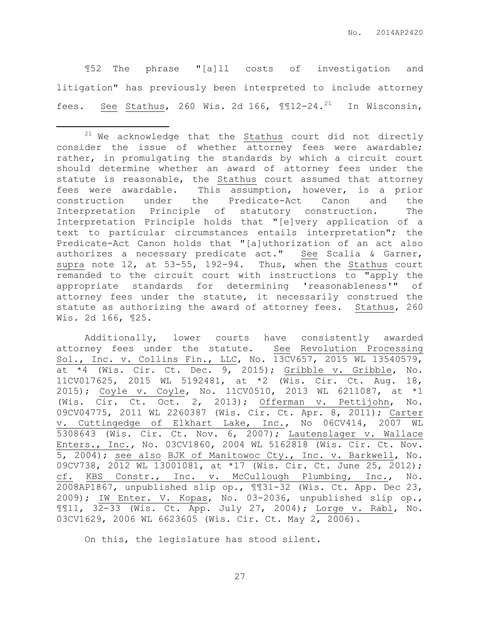¶52 The phrase "[a]ll costs of investigation and litigation" has previously been interpreted to include attorney fees. See Stathus, 260 Wis. 2d 166,  $\text{\texttt{III2-24.}}^{21}$  In Wisconsin,

 $\overline{a}$ 

Additionally, lower courts have consistently awarded attorney fees under the statute. See Revolution Processing Sol., Inc. v. Collins Fin., LLC, No. 13CV657, 2015 WL 13540579, at \*4 (Wis. Cir. Ct. Dec. 9, 2015); Gribble v. Gribble, No. 11CV017625, 2015 WL 5192481, at \*2 (Wis. Cir. Ct. Aug. 18, 2015); Coyle v. Coyle, No. 11CV0510, 2013 WL 6211087, at \*1 (Wis. Cir. Ct. Oct. 2, 2013); Offerman v. Pettijohn, No. 09CV04775, 2011 WL 2260387 (Wis. Cir. Ct. Apr. 8, 2011); Carter v. Cuttingedge of Elkhart Lake, Inc., No 06CV414, 2007 WL 5308643 (Wis. Cir. Ct. Nov. 6, 2007); Lautenslager v. Wallace Enters., Inc., No. 03CV1860, 2004 WL 5162818 (Wis. Cir. Ct. Nov. 5, 2004); see also BJK of Manitowoc Cty., Inc. v. Barkwell, No. 09CV738, 2012 WL 13001081, at \*17 (Wis. Cir. Ct. June 25, 2012); cf. KBS Constr., Inc. v. McCullough Plumbing, Inc., No. 2008AP1867, unpublished slip op., ¶¶31-32 (Wis. Ct. App. Dec 23, 2009); IW Enter. V. Kopas, No. 03-2036, unpublished slip op., ¶¶11, 32-33 (Wis. Ct. App. July 27, 2004); Lorge v. Rabl, No. 03CV1629, 2006 WL 6623605 (Wis. Cir. Ct. May 2, 2006).

On this, the legislature has stood silent.

 $21$  We acknowledge that the  $Stathus$  court did not directly consider the issue of whether attorney fees were awardable; rather, in promulgating the standards by which a circuit court should determine whether an award of attorney fees under the statute is reasonable, the Stathus court assumed that attorney fees were awardable. This assumption, however, is a prior construction under the Predicate-Act Canon and the Interpretation Principle of statutory construction. The Interpretation Principle holds that "[e]very application of a text to particular circumstances entails interpretation"; the Predicate-Act Canon holds that "[a]uthorization of an act also authorizes a necessary predicate act." See Scalia & Garner, supra note 12, at 53-55, 192-94. Thus, when the Stathus court remanded to the circuit court with instructions to "apply the appropriate standards for determining 'reasonableness'" of attorney fees under the statute, it necessarily construed the statute as authorizing the award of attorney fees. Stathus, 260 Wis. 2d 166, ¶25.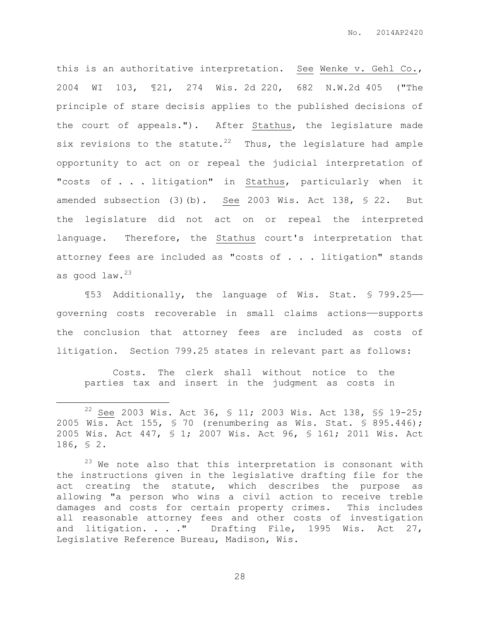this is an authoritative interpretation. See Wenke v. Gehl Co., 2004 WI 103, ¶21, 274 Wis. 2d 220, 682 N.W.2d 405 ("The principle of stare decisis applies to the published decisions of the court of appeals."). After Stathus, the legislature made six revisions to the statute.<sup>22</sup> Thus, the legislature had ample opportunity to act on or repeal the judicial interpretation of "costs of . . . litigation" in Stathus, particularly when it amended subsection (3)(b). See 2003 Wis. Act 138, § 22. But the legislature did not act on or repeal the interpreted language. Therefore, the Stathus court's interpretation that attorney fees are included as "costs of . . . litigation" stands as good law.<sup>23</sup>

¶53 Additionally, the language of Wis. Stat. § 799.25— governing costs recoverable in small claims actions——supports the conclusion that attorney fees are included as costs of litigation. Section 799.25 states in relevant part as follows:

Costs. The clerk shall without notice to the parties tax and insert in the judgment as costs in

 $\overline{a}$ 

<sup>22</sup> See 2003 Wis. Act 36, § 11; 2003 Wis. Act 138, §§ 19-25; 2005 Wis. Act 155, § 70 (renumbering as Wis. Stat. § 895.446); 2005 Wis. Act 447, § 1; 2007 Wis. Act 96, § 161; 2011 Wis. Act 186, § 2.

 $23$  We note also that this interpretation is consonant with the instructions given in the legislative drafting file for the act creating the statute, which describes the purpose as allowing "a person who wins a civil action to receive treble damages and costs for certain property crimes. This includes all reasonable attorney fees and other costs of investigation and litigation. . . . " Drafting File, 1995 Wis. Act 27, Legislative Reference Bureau, Madison, Wis.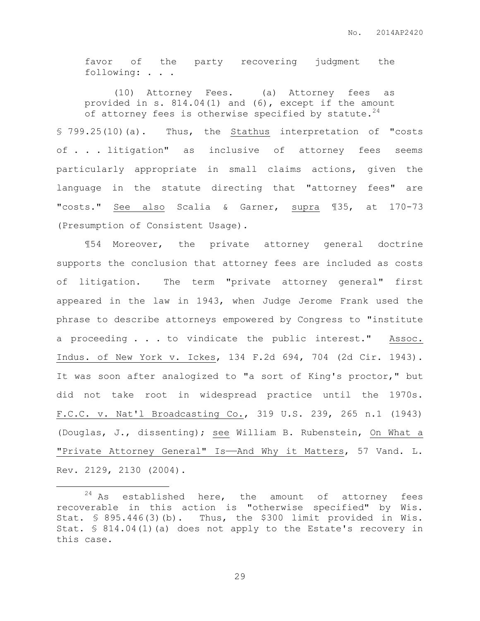favor of the party recovering judgment the following: . . .

(10) Attorney Fees. (a) Attorney fees as provided in s. 814.04(1) and (6), except if the amount of attorney fees is otherwise specified by statute.  $24$ 

§ 799.25(10)(a). Thus, the Stathus interpretation of "costs of . . . litigation" as inclusive of attorney fees seems particularly appropriate in small claims actions, given the language in the statute directing that "attorney fees" are "costs." See also Scalia & Garner, supra ¶35, at 170-73 (Presumption of Consistent Usage).

¶54 Moreover, the private attorney general doctrine supports the conclusion that attorney fees are included as costs of litigation. The term "private attorney general" first appeared in the law in 1943, when Judge Jerome Frank used the phrase to describe attorneys empowered by Congress to "institute a proceeding . . . to vindicate the public interest." Assoc. Indus. of New York v. Ickes, 134 F.2d 694, 704 (2d Cir. 1943). It was soon after analogized to "a sort of King's proctor," but did not take root in widespread practice until the 1970s. F.C.C. v. Nat'l Broadcasting Co., 319 U.S. 239, 265 n.1 (1943) (Douglas, J., dissenting); see William B. Rubenstein, On What a "Private Attorney General" Is——And Why it Matters, 57 Vand. L. Rev. 2129, 2130 (2004).

 $\overline{a}$ 

 $24$  As established here, the amount of attorney fees recoverable in this action is "otherwise specified" by Wis. Stat. § 895.446(3)(b). Thus, the \$300 limit provided in Wis. Stat. § 814.04(1)(a) does not apply to the Estate's recovery in this case.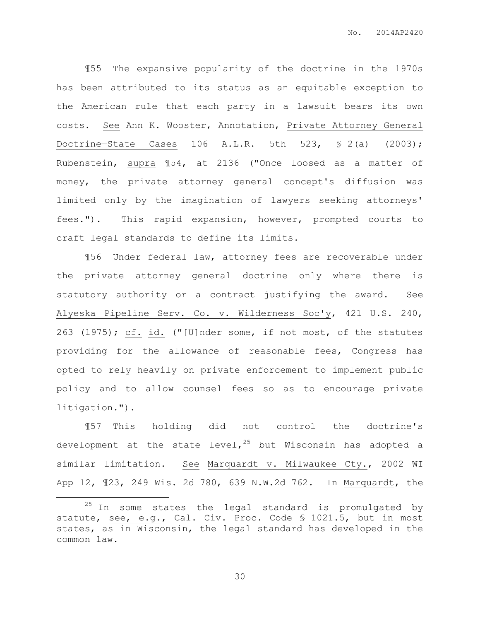¶55 The expansive popularity of the doctrine in the 1970s has been attributed to its status as an equitable exception to the American rule that each party in a lawsuit bears its own costs. See Ann K. Wooster, Annotation, Private Attorney General Doctrine—State Cases 106 A.L.R. 5th 523, § 2(a) (2003); Rubenstein, supra ¶54, at 2136 ("Once loosed as a matter of money, the private attorney general concept's diffusion was limited only by the imagination of lawyers seeking attorneys' fees."). This rapid expansion, however, prompted courts to craft legal standards to define its limits.

¶56 Under federal law, attorney fees are recoverable under the private attorney general doctrine only where there is statutory authority or a contract justifying the award. See Alyeska Pipeline Serv. Co. v. Wilderness Soc'y, 421 U.S. 240, 263 (1975); cf. id. ("[U]nder some, if not most, of the statutes providing for the allowance of reasonable fees, Congress has opted to rely heavily on private enforcement to implement public policy and to allow counsel fees so as to encourage private litigation.").

¶57 This holding did not control the doctrine's development at the state level,  $25$  but Wisconsin has adopted a similar limitation. See Marquardt v. Milwaukee Cty., 2002 WI App 12, ¶23, 249 Wis. 2d 780, 639 N.W.2d 762. In Marquardt, the

 $\overline{a}$ 

 $25$  In some states the legal standard is promulgated by statute, see, e.g., Cal. Civ. Proc. Code § 1021.5, but in most states, as in Wisconsin, the legal standard has developed in the common law.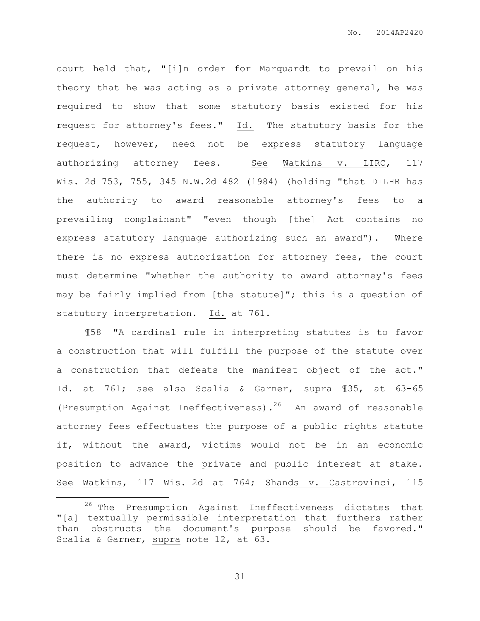court held that, "[i]n order for Marquardt to prevail on his theory that he was acting as a private attorney general, he was required to show that some statutory basis existed for his request for attorney's fees." Id. The statutory basis for the request, however, need not be express statutory language authorizing attorney fees. See Watkins v. LIRC, 117 Wis. 2d 753, 755, 345 N.W.2d 482 (1984) (holding "that DILHR has the authority to award reasonable attorney's fees to a prevailing complainant" "even though [the] Act contains no express statutory language authorizing such an award"). Where there is no express authorization for attorney fees, the court must determine "whether the authority to award attorney's fees may be fairly implied from [the statute]"; this is a question of statutory interpretation. Id. at 761.

¶58 "A cardinal rule in interpreting statutes is to favor a construction that will fulfill the purpose of the statute over a construction that defeats the manifest object of the act." Id. at 761; see also Scalia & Garner, supra ¶35, at 63-65 (Presumption Against Ineffectiveness).<sup>26</sup> An award of reasonable attorney fees effectuates the purpose of a public rights statute if, without the award, victims would not be in an economic position to advance the private and public interest at stake. See Watkins, 117 Wis. 2d at 764; Shands v. Castrovinci, 115

 $\overline{a}$ 

<sup>&</sup>lt;sup>26</sup> The Presumption Against Ineffectiveness dictates that "[a] textually permissible interpretation that furthers rather than obstructs the document's purpose should be favored." Scalia & Garner, supra note 12, at 63.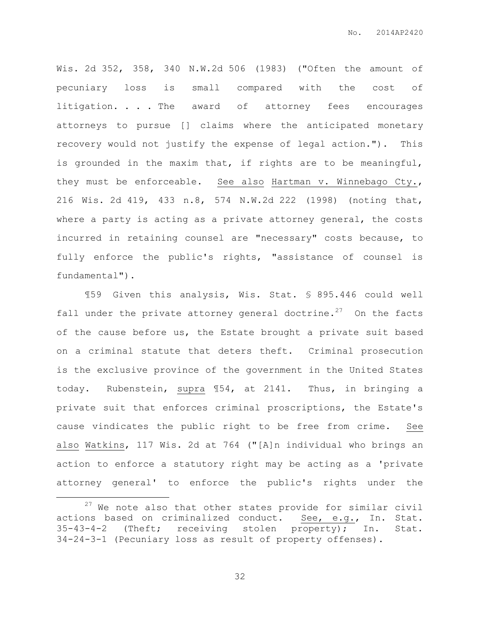Wis. 2d 352, 358, 340 N.W.2d 506 (1983) ("Often the amount of pecuniary loss is small compared with the cost of litigation. . . The award of attorney fees encourages attorneys to pursue [] claims where the anticipated monetary recovery would not justify the expense of legal action."). This is grounded in the maxim that, if rights are to be meaningful, they must be enforceable. See also Hartman v. Winnebago Cty., 216 Wis. 2d 419, 433 n.8, 574 N.W.2d 222 (1998) (noting that, where a party is acting as a private attorney general, the costs incurred in retaining counsel are "necessary" costs because, to fully enforce the public's rights, "assistance of counsel is fundamental").

¶59 Given this analysis, Wis. Stat. § 895.446 could well fall under the private attorney general doctrine.<sup>27</sup> On the facts of the cause before us, the Estate brought a private suit based on a criminal statute that deters theft. Criminal prosecution is the exclusive province of the government in the United States today. Rubenstein, supra ¶54, at 2141. Thus, in bringing a private suit that enforces criminal proscriptions, the Estate's cause vindicates the public right to be free from crime. See also Watkins, 117 Wis. 2d at 764 ("[A]n individual who brings an action to enforce a statutory right may be acting as a 'private attorney general' to enforce the public's rights under the

 $\overline{a}$ 

 $27$  We note also that other states provide for similar civil actions based on criminalized conduct. See, e.g., In. Stat. 35-43-4-2 (Theft; receiving stolen property); In. Stat. 34-24-3-1 (Pecuniary loss as result of property offenses).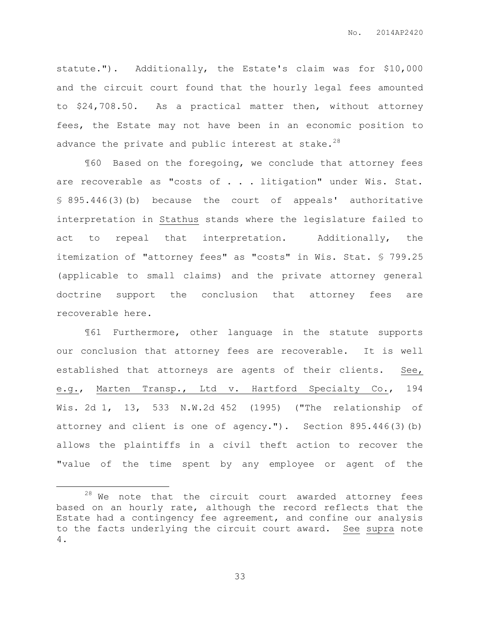statute."). Additionally, the Estate's claim was for \$10,000 and the circuit court found that the hourly legal fees amounted to \$24,708.50. As a practical matter then, without attorney fees, the Estate may not have been in an economic position to advance the private and public interest at stake.<sup>28</sup>

¶60 Based on the foregoing, we conclude that attorney fees are recoverable as "costs of . . . litigation" under Wis. Stat. § 895.446(3)(b) because the court of appeals' authoritative interpretation in Stathus stands where the legislature failed to act to repeal that interpretation. Additionally, the itemization of "attorney fees" as "costs" in Wis. Stat. § 799.25 (applicable to small claims) and the private attorney general doctrine support the conclusion that attorney fees are recoverable here.

¶61 Furthermore, other language in the statute supports our conclusion that attorney fees are recoverable. It is well established that attorneys are agents of their clients. See, e.g., Marten Transp., Ltd v. Hartford Specialty Co., 194 Wis. 2d 1, 13, 533 N.W.2d 452 (1995) ("The relationship of attorney and client is one of agency."). Section 895.446(3)(b) allows the plaintiffs in a civil theft action to recover the "value of the time spent by any employee or agent of the

 $\overline{a}$ 

 $28$  We note that the circuit court awarded attorney fees based on an hourly rate, although the record reflects that the Estate had a contingency fee agreement, and confine our analysis to the facts underlying the circuit court award. See supra note 4.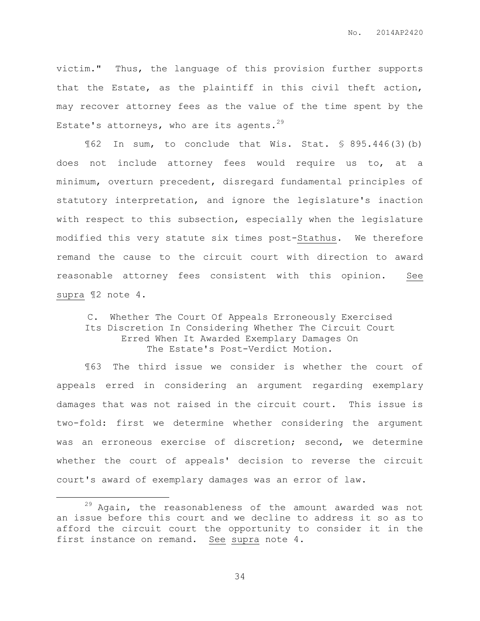victim." Thus, the language of this provision further supports that the Estate, as the plaintiff in this civil theft action, may recover attorney fees as the value of the time spent by the Estate's attorneys, who are its agents.<sup>29</sup>

¶62 In sum, to conclude that Wis. Stat. § 895.446(3)(b) does not include attorney fees would require us to, at a minimum, overturn precedent, disregard fundamental principles of statutory interpretation, and ignore the legislature's inaction with respect to this subsection, especially when the legislature modified this very statute six times post-Stathus. We therefore remand the cause to the circuit court with direction to award reasonable attorney fees consistent with this opinion. See supra ¶2 note 4.

## C. Whether The Court Of Appeals Erroneously Exercised Its Discretion In Considering Whether The Circuit Court Erred When It Awarded Exemplary Damages On The Estate's Post-Verdict Motion.

¶63 The third issue we consider is whether the court of appeals erred in considering an argument regarding exemplary damages that was not raised in the circuit court. This issue is two-fold: first we determine whether considering the argument was an erroneous exercise of discretion; second, we determine whether the court of appeals' decision to reverse the circuit court's award of exemplary damages was an error of law.

 $\overline{a}$ 

 $29$  Again, the reasonableness of the amount awarded was not an issue before this court and we decline to address it so as to afford the circuit court the opportunity to consider it in the first instance on remand. See supra note 4.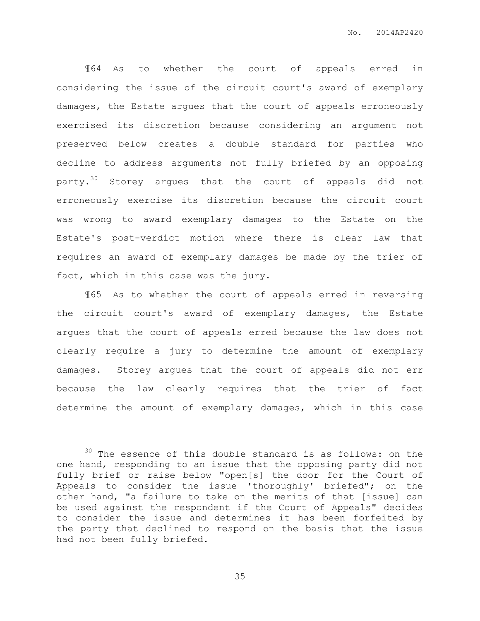¶64 As to whether the court of appeals erred in considering the issue of the circuit court's award of exemplary damages, the Estate argues that the court of appeals erroneously exercised its discretion because considering an argument not preserved below creates a double standard for parties who decline to address arguments not fully briefed by an opposing party.<sup>30</sup> Storey argues that the court of appeals did not erroneously exercise its discretion because the circuit court was wrong to award exemplary damages to the Estate on the Estate's post-verdict motion where there is clear law that requires an award of exemplary damages be made by the trier of fact, which in this case was the jury.

¶65 As to whether the court of appeals erred in reversing the circuit court's award of exemplary damages, the Estate argues that the court of appeals erred because the law does not clearly require a jury to determine the amount of exemplary damages. Storey argues that the court of appeals did not err because the law clearly requires that the trier of fact determine the amount of exemplary damages, which in this case

 $\overline{a}$ 

<sup>&</sup>lt;sup>30</sup> The essence of this double standard is as follows: on the one hand, responding to an issue that the opposing party did not fully brief or raise below "open[s] the door for the Court of Appeals to consider the issue 'thoroughly' briefed"; on the other hand, "a failure to take on the merits of that [issue] can be used against the respondent if the Court of Appeals" decides to consider the issue and determines it has been forfeited by the party that declined to respond on the basis that the issue had not been fully briefed.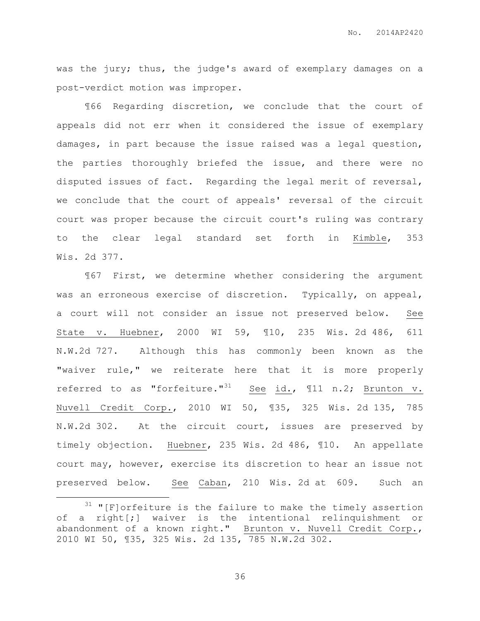No. 2014AP2420

was the jury; thus, the judge's award of exemplary damages on a post-verdict motion was improper.

¶66 Regarding discretion, we conclude that the court of appeals did not err when it considered the issue of exemplary damages, in part because the issue raised was a legal question, the parties thoroughly briefed the issue, and there were no disputed issues of fact. Regarding the legal merit of reversal, we conclude that the court of appeals' reversal of the circuit court was proper because the circuit court's ruling was contrary to the clear legal standard set forth in Kimble, 353 Wis. 2d 377.

¶67 First, we determine whether considering the argument was an erroneous exercise of discretion. Typically, on appeal, a court will not consider an issue not preserved below. See State v. Huebner, 2000 WI 59, ¶10, 235 Wis. 2d 486, 611 N.W.2d 727. Although this has commonly been known as the "waiver rule," we reiterate here that it is more properly referred to as "forfeiture." $31$  See id.,  $\text{I1}$  n.2; Brunton v. Nuvell Credit Corp., 2010 WI 50, ¶35, 325 Wis. 2d 135, 785 N.W.2d 302. At the circuit court, issues are preserved by timely objection. Huebner, 235 Wis. 2d 486, ¶10. An appellate court may, however, exercise its discretion to hear an issue not preserved below. See Caban, 210 Wis. 2d at 609. Such an

 $\overline{a}$ 

 $31$  "[F]orfeiture is the failure to make the timely assertion of a right[;] waiver is the intentional relinquishment or abandonment of a known right." Brunton v. Nuvell Credit Corp., 2010 WI 50, ¶35, 325 Wis. 2d 135, 785 N.W.2d 302.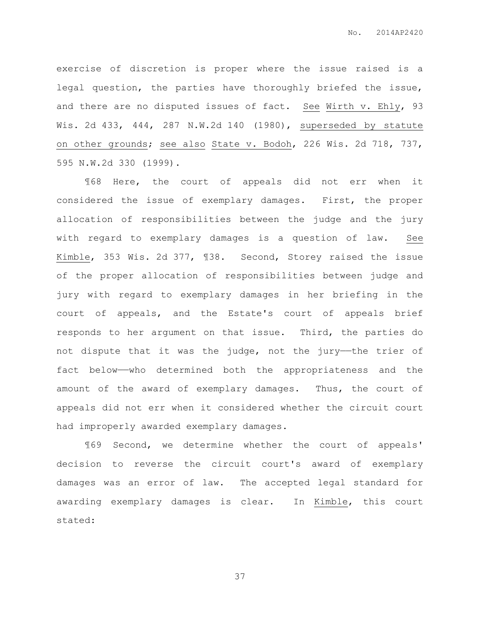exercise of discretion is proper where the issue raised is a legal question, the parties have thoroughly briefed the issue, and there are no disputed issues of fact. See Wirth v. Ehly, 93 Wis. 2d 433, 444, 287 N.W.2d 140 (1980), superseded by statute on other grounds; see also State v. Bodoh, 226 Wis. 2d 718, 737, 595 N.W.2d 330 (1999).

¶68 Here, the court of appeals did not err when it considered the issue of exemplary damages. First, the proper allocation of responsibilities between the judge and the jury with regard to exemplary damages is a question of law. See Kimble, 353 Wis. 2d 377, ¶38. Second, Storey raised the issue of the proper allocation of responsibilities between judge and jury with regard to exemplary damages in her briefing in the court of appeals, and the Estate's court of appeals brief responds to her argument on that issue. Third, the parties do not dispute that it was the judge, not the jury—the trier of fact below——who determined both the appropriateness and the amount of the award of exemplary damages. Thus, the court of appeals did not err when it considered whether the circuit court had improperly awarded exemplary damages.

¶69 Second, we determine whether the court of appeals' decision to reverse the circuit court's award of exemplary damages was an error of law. The accepted legal standard for awarding exemplary damages is clear. In Kimble, this court stated: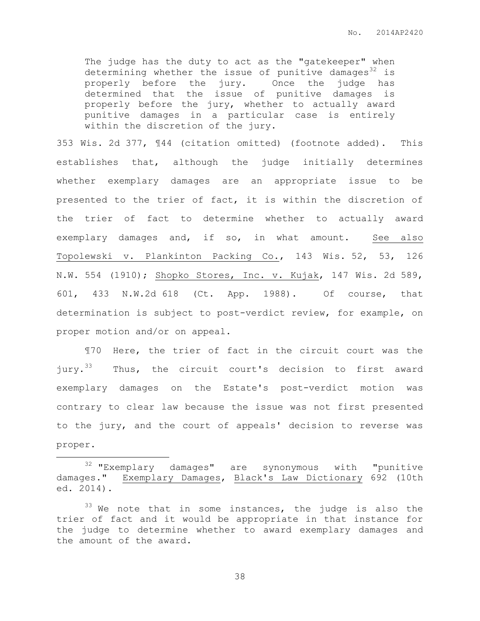The judge has the duty to act as the "gatekeeper" when determining whether the issue of punitive damages $32$  is properly before the jury. Once the judge has determined that the issue of punitive damages is properly before the jury, whether to actually award punitive damages in a particular case is entirely within the discretion of the jury.

353 Wis. 2d 377, ¶44 (citation omitted) (footnote added). This establishes that, although the judge initially determines whether exemplary damages are an appropriate issue to be presented to the trier of fact, it is within the discretion of the trier of fact to determine whether to actually award exemplary damages and, if so, in what amount. See also Topolewski v. Plankinton Packing Co., 143 Wis. 52, 53, 126 N.W. 554 (1910); Shopko Stores, Inc. v. Kujak, 147 Wis. 2d 589, 601, 433 N.W.2d 618 (Ct. App. 1988). Of course, that determination is subject to post-verdict review, for example, on proper motion and/or on appeal.

¶70 Here, the trier of fact in the circuit court was the jury.<sup>33</sup> Thus, the circuit court's decision to first award exemplary damages on the Estate's post-verdict motion was contrary to clear law because the issue was not first presented to the jury, and the court of appeals' decision to reverse was proper.

 $\overline{a}$ 

<sup>32</sup> "Exemplary damages" are synonymous with "punitive damages." Exemplary Damages, Black's Law Dictionary 692 (10th ed. 2014).

 $33$  We note that in some instances, the judge is also the trier of fact and it would be appropriate in that instance for the judge to determine whether to award exemplary damages and the amount of the award.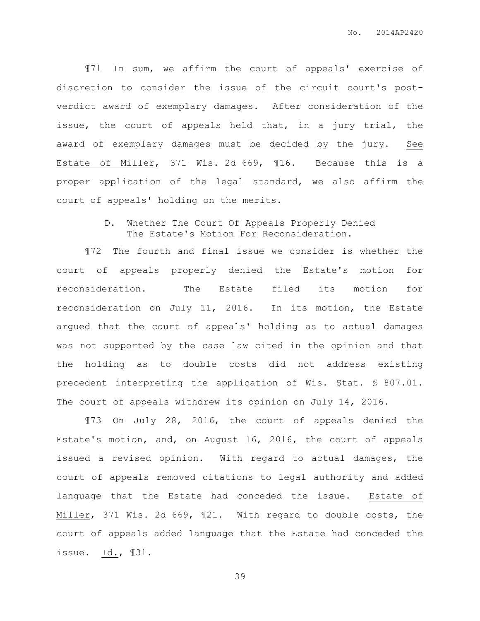¶71 In sum, we affirm the court of appeals' exercise of discretion to consider the issue of the circuit court's postverdict award of exemplary damages. After consideration of the issue, the court of appeals held that, in a jury trial, the award of exemplary damages must be decided by the jury. See Estate of Miller, 371 Wis. 2d 669, ¶16. Because this is a proper application of the legal standard, we also affirm the court of appeals' holding on the merits.

> D. Whether The Court Of Appeals Properly Denied The Estate's Motion For Reconsideration.

¶72 The fourth and final issue we consider is whether the court of appeals properly denied the Estate's motion for reconsideration. The Estate filed its motion for reconsideration on July 11, 2016. In its motion, the Estate argued that the court of appeals' holding as to actual damages was not supported by the case law cited in the opinion and that the holding as to double costs did not address existing precedent interpreting the application of Wis. Stat. § 807.01. The court of appeals withdrew its opinion on July 14, 2016.

¶73 On July 28, 2016, the court of appeals denied the Estate's motion, and, on August 16, 2016, the court of appeals issued a revised opinion. With regard to actual damages, the court of appeals removed citations to legal authority and added language that the Estate had conceded the issue. Estate of Miller, 371 Wis. 2d 669, ¶21. With regard to double costs, the court of appeals added language that the Estate had conceded the issue. Id., ¶31.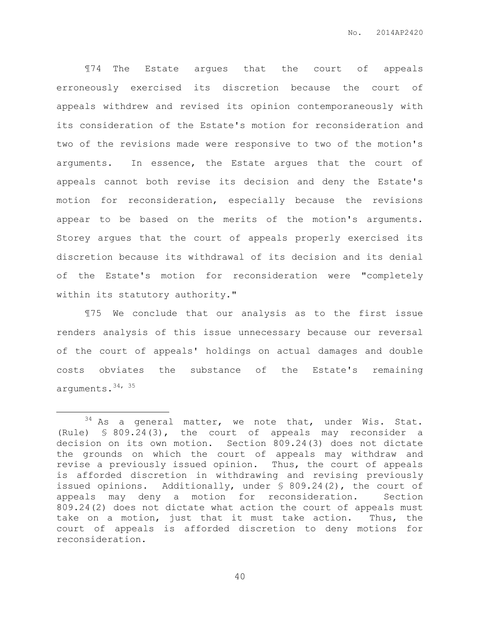¶74 The Estate argues that the court of appeals erroneously exercised its discretion because the court of appeals withdrew and revised its opinion contemporaneously with its consideration of the Estate's motion for reconsideration and two of the revisions made were responsive to two of the motion's arguments. In essence, the Estate argues that the court of appeals cannot both revise its decision and deny the Estate's motion for reconsideration, especially because the revisions appear to be based on the merits of the motion's arguments. Storey argues that the court of appeals properly exercised its discretion because its withdrawal of its decision and its denial of the Estate's motion for reconsideration were "completely within its statutory authority."

¶75 We conclude that our analysis as to the first issue renders analysis of this issue unnecessary because our reversal of the court of appeals' holdings on actual damages and double costs obviates the substance of the Estate's remaining arguments. 34, 35

 $\overline{a}$ 

 $34$  As a general matter, we note that, under Wis. Stat. (Rule) § 809.24(3), the court of appeals may reconsider a decision on its own motion. Section 809.24(3) does not dictate the grounds on which the court of appeals may withdraw and revise a previously issued opinion. Thus, the court of appeals is afforded discretion in withdrawing and revising previously issued opinions. Additionally, under § 809.24(2), the court of appeals may deny a motion for reconsideration. Section 809.24(2) does not dictate what action the court of appeals must take on a motion, just that it must take action. Thus, the court of appeals is afforded discretion to deny motions for reconsideration.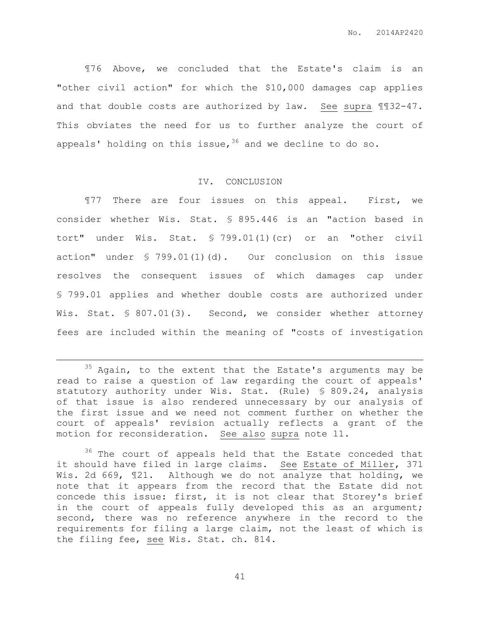¶76 Above, we concluded that the Estate's claim is an "other civil action" for which the \$10,000 damages cap applies and that double costs are authorized by law. See supra ¶¶32-47. This obviates the need for us to further analyze the court of appeals' holding on this issue,  $36$  and we decline to do so.

# IV. CONCLUSION

¶77 There are four issues on this appeal. First, we consider whether Wis. Stat. § 895.446 is an "action based in tort" under Wis. Stat. § 799.01(1)(cr) or an "other civil action" under § 799.01(1)(d). Our conclusion on this issue resolves the consequent issues of which damages cap under § 799.01 applies and whether double costs are authorized under Wis. Stat. § 807.01(3). Second, we consider whether attorney fees are included within the meaning of "costs of investigation

 $\overline{a}$ 

 $35$  Again, to the extent that the Estate's arguments may be read to raise a question of law regarding the court of appeals' statutory authority under Wis. Stat. (Rule) § 809.24, analysis of that issue is also rendered unnecessary by our analysis of the first issue and we need not comment further on whether the court of appeals' revision actually reflects a grant of the motion for reconsideration. See also supra note 11.

<sup>&</sup>lt;sup>36</sup> The court of appeals held that the Estate conceded that it should have filed in large claims. See Estate of Miller, 371 Wis. 2d 669, 121. Although we do not analyze that holding, we note that it appears from the record that the Estate did not concede this issue: first, it is not clear that Storey's brief in the court of appeals fully developed this as an argument; second, there was no reference anywhere in the record to the requirements for filing a large claim, not the least of which is the filing fee, see Wis. Stat. ch. 814.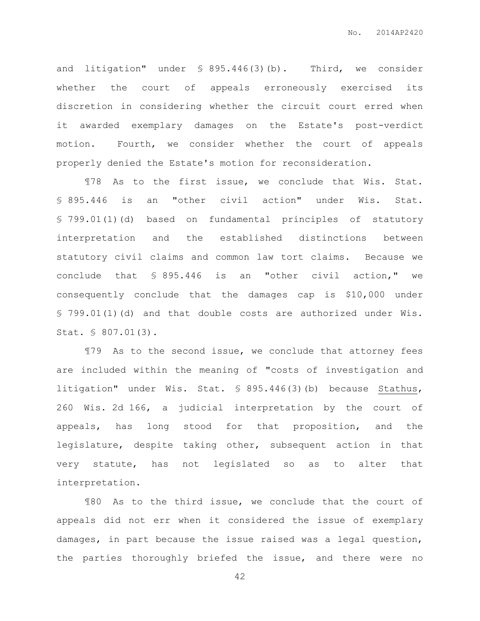and litigation" under § 895.446(3)(b). Third, we consider whether the court of appeals erroneously exercised its discretion in considering whether the circuit court erred when it awarded exemplary damages on the Estate's post-verdict motion. Fourth, we consider whether the court of appeals properly denied the Estate's motion for reconsideration.

¶78 As to the first issue, we conclude that Wis. Stat. § 895.446 is an "other civil action" under Wis. Stat. § 799.01(1)(d) based on fundamental principles of statutory interpretation and the established distinctions between statutory civil claims and common law tort claims. Because we conclude that § 895.446 is an "other civil action," we consequently conclude that the damages cap is \$10,000 under § 799.01(1)(d) and that double costs are authorized under Wis. Stat. § 807.01(3).

¶79 As to the second issue, we conclude that attorney fees are included within the meaning of "costs of investigation and litigation" under Wis. Stat. § 895.446(3)(b) because Stathus, 260 Wis. 2d 166, a judicial interpretation by the court of appeals, has long stood for that proposition, and the legislature, despite taking other, subsequent action in that very statute, has not legislated so as to alter that interpretation.

¶80 As to the third issue, we conclude that the court of appeals did not err when it considered the issue of exemplary damages, in part because the issue raised was a legal question, the parties thoroughly briefed the issue, and there were no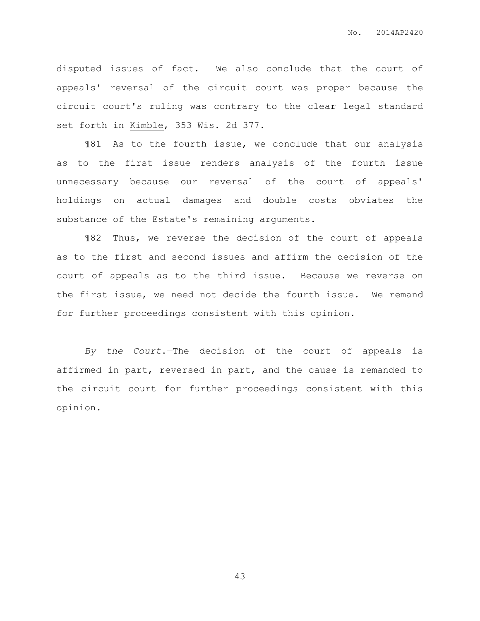disputed issues of fact. We also conclude that the court of appeals' reversal of the circuit court was proper because the circuit court's ruling was contrary to the clear legal standard set forth in Kimble, 353 Wis. 2d 377.

¶81 As to the fourth issue, we conclude that our analysis as to the first issue renders analysis of the fourth issue unnecessary because our reversal of the court of appeals' holdings on actual damages and double costs obviates the substance of the Estate's remaining arguments.

¶82 Thus, we reverse the decision of the court of appeals as to the first and second issues and affirm the decision of the court of appeals as to the third issue. Because we reverse on the first issue, we need not decide the fourth issue. We remand for further proceedings consistent with this opinion.

*By the Court*.—The decision of the court of appeals is affirmed in part, reversed in part, and the cause is remanded to the circuit court for further proceedings consistent with this opinion.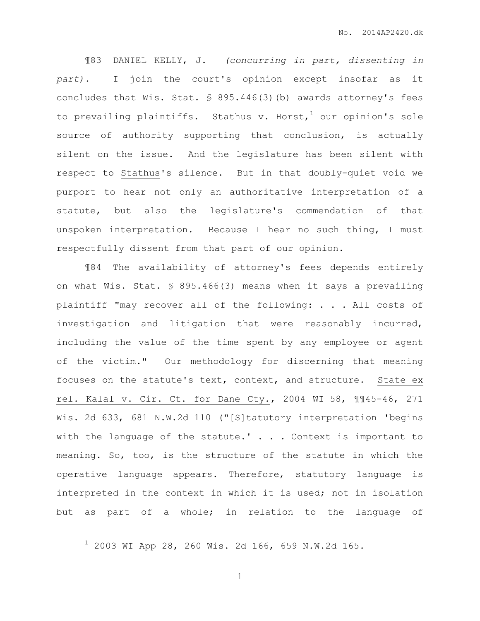¶83 DANIEL KELLY, J. *(concurring in part, dissenting in part).* I join the court's opinion except insofar as it concludes that Wis. Stat. § 895.446(3)(b) awards attorney's fees to prevailing plaintiffs. Stathus v. Horst, $^1$  our opinion's sole source of authority supporting that conclusion, is actually silent on the issue. And the legislature has been silent with respect to Stathus's silence. But in that doubly-quiet void we purport to hear not only an authoritative interpretation of a statute, but also the legislature's commendation of that unspoken interpretation. Because I hear no such thing, I must respectfully dissent from that part of our opinion.

¶84 The availability of attorney's fees depends entirely on what Wis. Stat. § 895.466(3) means when it says a prevailing plaintiff "may recover all of the following: . . . All costs of investigation and litigation that were reasonably incurred, including the value of the time spent by any employee or agent of the victim." Our methodology for discerning that meaning focuses on the statute's text, context, and structure. State ex rel. Kalal v. Cir. Ct. for Dane Cty., 2004 WI 58, ¶¶45-46, 271 Wis. 2d 633, 681 N.W.2d 110 ("[S]tatutory interpretation 'begins with the language of the statute.'  $\ldots$  . Context is important to meaning. So, too, is the structure of the statute in which the operative language appears. Therefore, statutory language is interpreted in the context in which it is used; not in isolation but as part of a whole; in relation to the language of

 $\overline{a}$ 

<sup>1</sup> 2003 WI App 28, 260 Wis. 2d 166, 659 N.W.2d 165.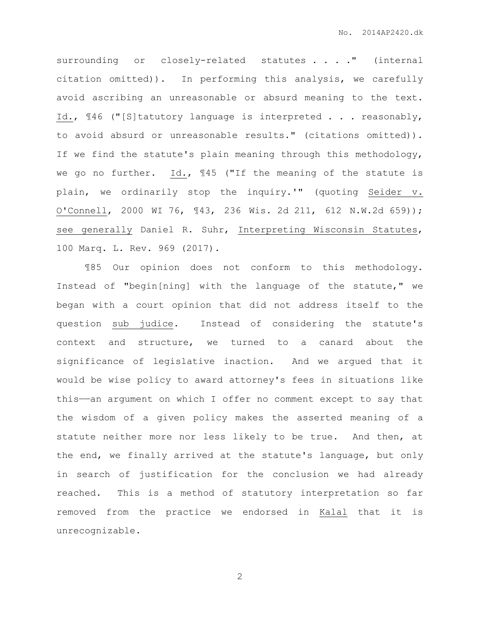surrounding or closely-related statutes . . . . " (internal citation omitted)). In performing this analysis, we carefully avoid ascribing an unreasonable or absurd meaning to the text. Id.,  $\mathbb{I}46$  ("[S]tatutory language is interpreted . . . reasonably, to avoid absurd or unreasonable results." (citations omitted)). If we find the statute's plain meaning through this methodology, we go no further. Id., ¶45 ("If the meaning of the statute is plain, we ordinarily stop the inquiry.'" (quoting Seider v. O'Connell, 2000 WI 76, ¶43, 236 Wis. 2d 211, 612 N.W.2d 659)); see generally Daniel R. Suhr, Interpreting Wisconsin Statutes, 100 Marq. L. Rev. 969 (2017).

¶85 Our opinion does not conform to this methodology. Instead of "begin[ning] with the language of the statute," we began with a court opinion that did not address itself to the question sub judice. Instead of considering the statute's context and structure, we turned to a canard about the significance of legislative inaction. And we argued that it would be wise policy to award attorney's fees in situations like this——an argument on which I offer no comment except to say that the wisdom of a given policy makes the asserted meaning of a statute neither more nor less likely to be true. And then, at the end, we finally arrived at the statute's language, but only in search of justification for the conclusion we had already reached. This is a method of statutory interpretation so far removed from the practice we endorsed in Kalal that it is unrecognizable.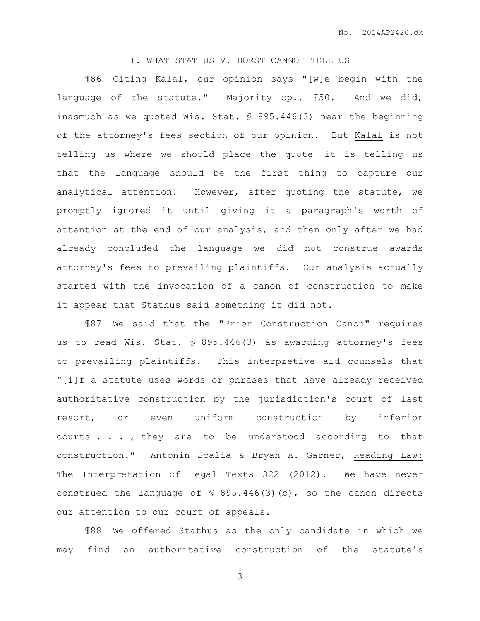## I. WHAT STATHUS V. HORST CANNOT TELL US

¶86 Citing Kalal, our opinion says "[w]e begin with the language of the statute." Majority op., ¶50. And we did, inasmuch as we quoted Wis. Stat. § 895.446(3) near the beginning of the attorney's fees section of our opinion. But Kalal is not telling us where we should place the quote——it is telling us that the language should be the first thing to capture our analytical attention. However, after quoting the statute, we promptly ignored it until giving it a paragraph's worth of attention at the end of our analysis, and then only after we had already concluded the language we did not construe awards attorney's fees to prevailing plaintiffs. Our analysis actually started with the invocation of a canon of construction to make it appear that Stathus said something it did not.

¶87 We said that the "Prior Construction Canon" requires us to read Wis. Stat. § 895.446(3) as awarding attorney's fees to prevailing plaintiffs. This interpretive aid counsels that "[i]f a statute uses words or phrases that have already received authoritative construction by the jurisdiction's court of last resort, or even uniform construction by inferior courts . . . , they are to be understood according to that construction." Antonin Scalia & Bryan A. Garner, Reading Law: The Interpretation of Legal Texts 322 (2012). We have never construed the language of  $\frac{1}{5}$  895.446(3)(b), so the canon directs our attention to our court of appeals.

¶88 We offered Stathus as the only candidate in which we may find an authoritative construction of the statute's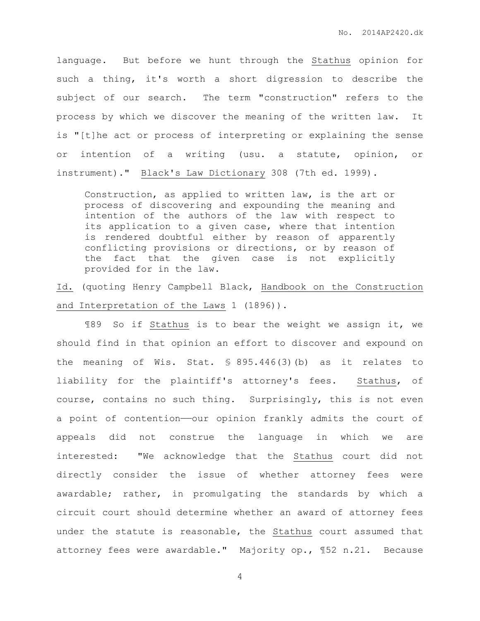language. But before we hunt through the Stathus opinion for such a thing, it's worth a short digression to describe the subject of our search. The term "construction" refers to the process by which we discover the meaning of the written law. It is "[t]he act or process of interpreting or explaining the sense or intention of a writing (usu. a statute, opinion, or instrument)." Black's Law Dictionary 308 (7th ed. 1999).

Construction, as applied to written law, is the art or process of discovering and expounding the meaning and intention of the authors of the law with respect to its application to a given case, where that intention is rendered doubtful either by reason of apparently conflicting provisions or directions, or by reason of the fact that the given case is not explicitly provided for in the law.

Id. (quoting Henry Campbell Black, Handbook on the Construction and Interpretation of the Laws 1 (1896)).

¶89 So if Stathus is to bear the weight we assign it, we should find in that opinion an effort to discover and expound on the meaning of Wis. Stat. § 895.446(3)(b) as it relates to liability for the plaintiff's attorney's fees. Stathus, of course, contains no such thing. Surprisingly, this is not even a point of contention—our opinion frankly admits the court of appeals did not construe the language in which we are interested: "We acknowledge that the Stathus court did not directly consider the issue of whether attorney fees were awardable; rather, in promulgating the standards by which a circuit court should determine whether an award of attorney fees under the statute is reasonable, the Stathus court assumed that attorney fees were awardable." Majority op., ¶52 n.21. Because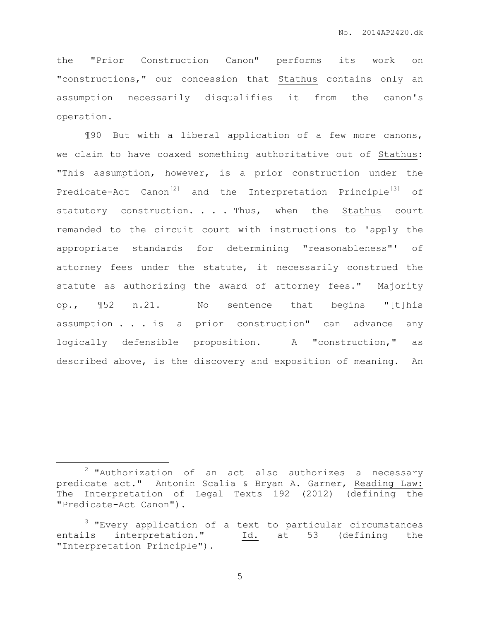the "Prior Construction Canon" performs its work on "constructions," our concession that Stathus contains only an assumption necessarily disqualifies it from the canon's operation.

¶90 But with a liberal application of a few more canons, we claim to have coaxed something authoritative out of Stathus: "This assumption, however, is a prior construction under the Predicate-Act Canon<sup>[2]</sup> and the Interpretation Principle<sup>[3]</sup> of statutory construction. . . Thus, when the Stathus court remanded to the circuit court with instructions to 'apply the appropriate standards for determining "reasonableness"' of attorney fees under the statute, it necessarily construed the statute as authorizing the award of attorney fees." Majority op., ¶52 n.21. No sentence that begins "[t]his assumption . . . is a prior construction" can advance any logically defensible proposition. A "construction," as described above, is the discovery and exposition of meaning. An

 $\overline{a}$ 

 $2$  "Authorization of an act also authorizes a necessary predicate act." Antonin Scalia & Bryan A. Garner, Reading Law: The Interpretation of Legal Texts 192 (2012) (defining the "Predicate-Act Canon").

 $3$  "Every application of a text to particular circumstances entails interpretation." Id. at 53 (defining the "Interpretation Principle").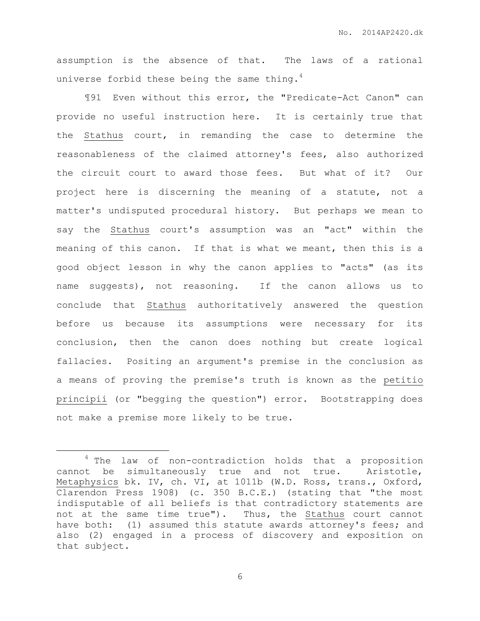assumption is the absence of that. The laws of a rational universe forbid these being the same thing. $4$ 

¶91 Even without this error, the "Predicate-Act Canon" can provide no useful instruction here. It is certainly true that the Stathus court, in remanding the case to determine the reasonableness of the claimed attorney's fees, also authorized the circuit court to award those fees. But what of it? Our project here is discerning the meaning of a statute, not a matter's undisputed procedural history. But perhaps we mean to say the Stathus court's assumption was an "act" within the meaning of this canon. If that is what we meant, then this is a good object lesson in why the canon applies to "acts" (as its name suggests), not reasoning. If the canon allows us to conclude that Stathus authoritatively answered the question before us because its assumptions were necessary for its conclusion, then the canon does nothing but create logical fallacies. Positing an argument's premise in the conclusion as a means of proving the premise's truth is known as the petitio principii (or "begging the question") error. Bootstrapping does not make a premise more likely to be true.

 $\overline{a}$ 

<sup>4</sup> The law of non-contradiction holds that a proposition cannot be simultaneously true and not true. Aristotle, Metaphysics bk. IV, ch. VI, at 1011b (W.D. Ross, trans., Oxford, Clarendon Press 1908) (c. 350 B.C.E.) (stating that "the most indisputable of all beliefs is that contradictory statements are not at the same time true"). Thus, the Stathus court cannot have both: (1) assumed this statute awards attorney's fees; and also (2) engaged in a process of discovery and exposition on that subject.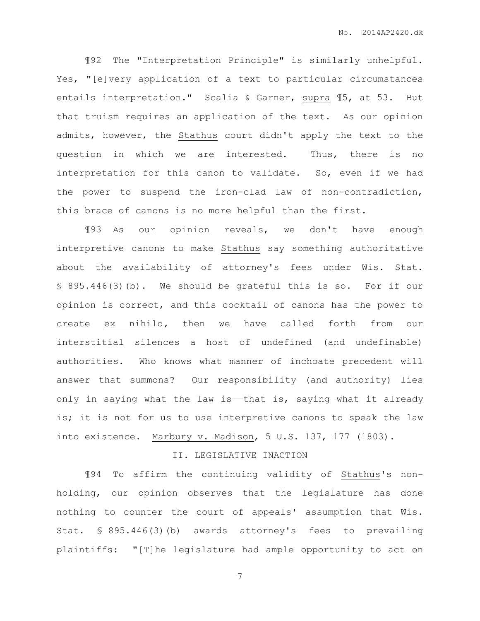¶92 The "Interpretation Principle" is similarly unhelpful. Yes, "[e]very application of a text to particular circumstances entails interpretation." Scalia & Garner, supra ¶5, at 53. But that truism requires an application of the text. As our opinion admits, however, the Stathus court didn't apply the text to the question in which we are interested. Thus, there is no interpretation for this canon to validate. So, even if we had the power to suspend the iron-clad law of non-contradiction, this brace of canons is no more helpful than the first.

¶93 As our opinion reveals, we don't have enough interpretive canons to make Stathus say something authoritative about the availability of attorney's fees under Wis. Stat. § 895.446(3)(b). We should be grateful this is so. For if our opinion is correct, and this cocktail of canons has the power to create ex nihilo*,* then we have called forth from our interstitial silences a host of undefined (and undefinable) authorities. Who knows what manner of inchoate precedent will answer that summons? Our responsibility (and authority) lies only in saying what the law is——that is, saying what it already is; it is not for us to use interpretive canons to speak the law into existence. Marbury v. Madison, 5 U.S. 137, 177 (1803).

# II. LEGISLATIVE INACTION

¶94 To affirm the continuing validity of Stathus's nonholding, our opinion observes that the legislature has done nothing to counter the court of appeals' assumption that Wis. Stat. § 895.446(3)(b) awards attorney's fees to prevailing plaintiffs: "[T]he legislature had ample opportunity to act on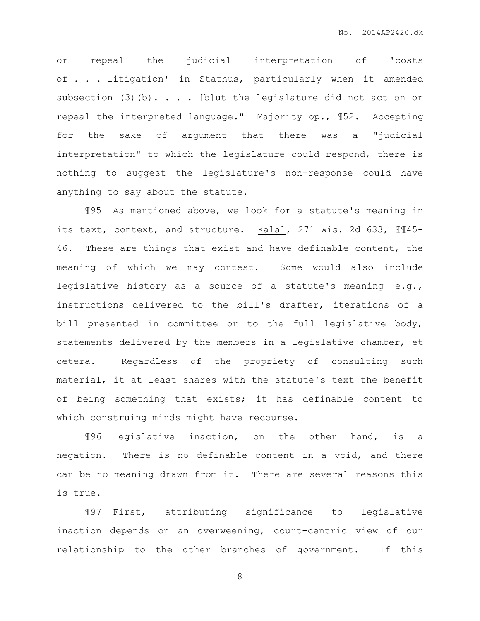or repeal the judicial interpretation of 'costs of . . . litigation' in Stathus, particularly when it amended subsection (3)(b). . . . [b]ut the legislature did not act on or repeal the interpreted language." Majority op., ¶52. Accepting for the sake of argument that there was a "judicial interpretation" to which the legislature could respond, there is nothing to suggest the legislature's non-response could have anything to say about the statute.

¶95 As mentioned above, we look for a statute's meaning in its text, context, and structure. Kalal, 271 Wis. 2d 633, 1145-46. These are things that exist and have definable content, the meaning of which we may contest. Some would also include legislative history as a source of a statute's meaning-e.g., instructions delivered to the bill's drafter, iterations of a bill presented in committee or to the full legislative body, statements delivered by the members in a legislative chamber, et cetera. Regardless of the propriety of consulting such material, it at least shares with the statute's text the benefit of being something that exists; it has definable content to which construing minds might have recourse.

¶96 Legislative inaction, on the other hand, is a negation. There is no definable content in a void, and there can be no meaning drawn from it. There are several reasons this is true.

¶97 First, attributing significance to legislative inaction depends on an overweening, court-centric view of our relationship to the other branches of government. If this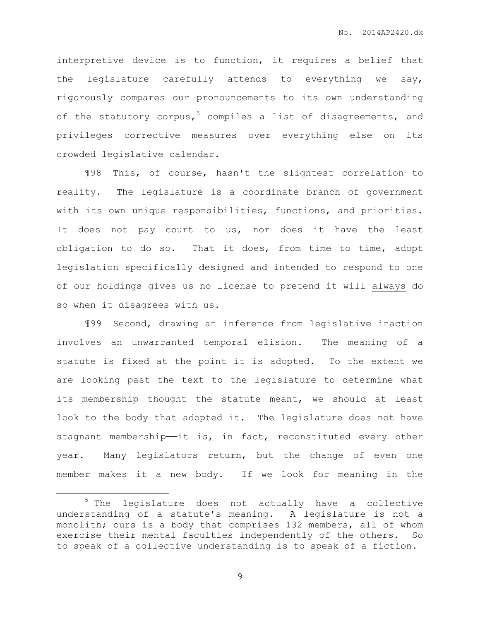interpretive device is to function, it requires a belief that the legislature carefully attends to everything we say, rigorously compares our pronouncements to its own understanding of the statutory corpus,<sup>5</sup> compiles a list of disagreements, and privileges corrective measures over everything else on its crowded legislative calendar.

¶98 This, of course, hasn't the slightest correlation to reality. The legislature is a coordinate branch of government with its own unique responsibilities, functions, and priorities. It does not pay court to us, nor does it have the least obligation to do so. That it does, from time to time, adopt legislation specifically designed and intended to respond to one of our holdings gives us no license to pretend it will always do so when it disagrees with us.

¶99 Second, drawing an inference from legislative inaction involves an unwarranted temporal elision. The meaning of a statute is fixed at the point it is adopted. To the extent we are looking past the text to the legislature to determine what its membership thought the statute meant, we should at least look to the body that adopted it. The legislature does not have stagnant membership——it is, in fact, reconstituted every other year. Many legislators return, but the change of even one member makes it a new body. If we look for meaning in the

 $\overline{a}$ 

<sup>5</sup> The legislature does not actually have a collective understanding of a statute's meaning. A legislature is not a monolith; ours is a body that comprises 132 members, all of whom exercise their mental faculties independently of the others. So to speak of a collective understanding is to speak of a fiction.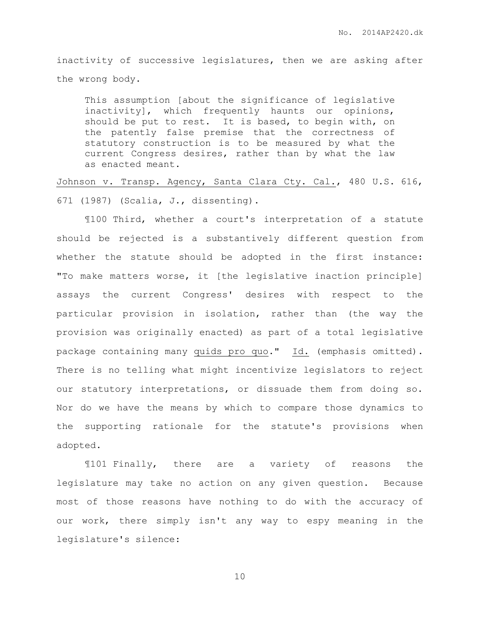inactivity of successive legislatures, then we are asking after the wrong body.

This assumption [about the significance of legislative inactivity], which frequently haunts our opinions, should be put to rest. It is based, to begin with, on the patently false premise that the correctness of statutory construction is to be measured by what the current Congress desires, rather than by what the law as enacted meant.

Johnson v. Transp. Agency, Santa Clara Cty. Cal., 480 U.S. 616, 671 (1987) (Scalia, J., dissenting).

¶100 Third, whether a court's interpretation of a statute should be rejected is a substantively different question from whether the statute should be adopted in the first instance: "To make matters worse, it [the legislative inaction principle] assays the current Congress' desires with respect to the particular provision in isolation, rather than (the way the provision was originally enacted) as part of a total legislative package containing many quids pro quo." Id. (emphasis omitted). There is no telling what might incentivize legislators to reject our statutory interpretations, or dissuade them from doing so. Nor do we have the means by which to compare those dynamics to the supporting rationale for the statute's provisions when adopted.

¶101 Finally, there are a variety of reasons the legislature may take no action on any given question. Because most of those reasons have nothing to do with the accuracy of our work, there simply isn't any way to espy meaning in the legislature's silence: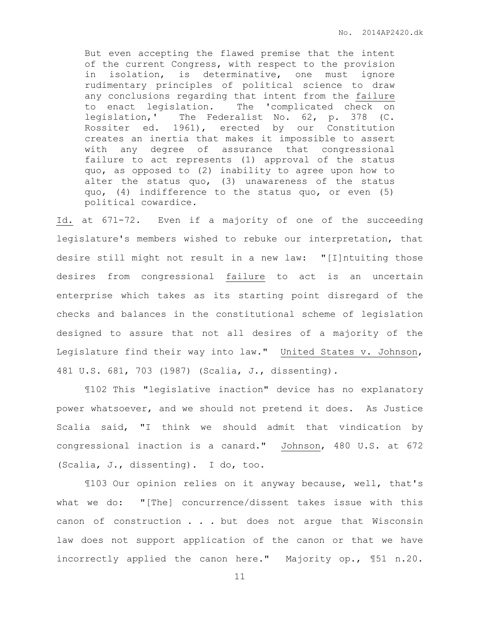But even accepting the flawed premise that the intent of the current Congress, with respect to the provision in isolation, is determinative, one must ignore rudimentary principles of political science to draw any conclusions regarding that intent from the failure to enact legislation. The 'complicated check on legislation,' The Federalist No. 62, p. 378 (C. Rossiter ed. 1961), erected by our Constitution creates an inertia that makes it impossible to assert with any degree of assurance that congressional failure to act represents (1) approval of the status quo, as opposed to (2) inability to agree upon how to alter the status quo, (3) unawareness of the status quo, (4) indifference to the status quo, or even (5) political cowardice.

Id. at 671-72. Even if a majority of one of the succeeding legislature's members wished to rebuke our interpretation, that desire still might not result in a new law: "[I]ntuiting those desires from congressional failure to act is an uncertain enterprise which takes as its starting point disregard of the checks and balances in the constitutional scheme of legislation designed to assure that not all desires of a majority of the Legislature find their way into law." United States v. Johnson, 481 U.S. 681, 703 (1987) (Scalia, J., dissenting).

¶102 This "legislative inaction" device has no explanatory power whatsoever, and we should not pretend it does. As Justice Scalia said, "I think we should admit that vindication by congressional inaction is a canard." Johnson, 480 U.S. at 672 (Scalia, J., dissenting). I do, too.

¶103 Our opinion relies on it anyway because, well, that's what we do: "[The] concurrence/dissent takes issue with this canon of construction . . . but does not argue that Wisconsin law does not support application of the canon or that we have incorrectly applied the canon here." Majority op., ¶51 n.20.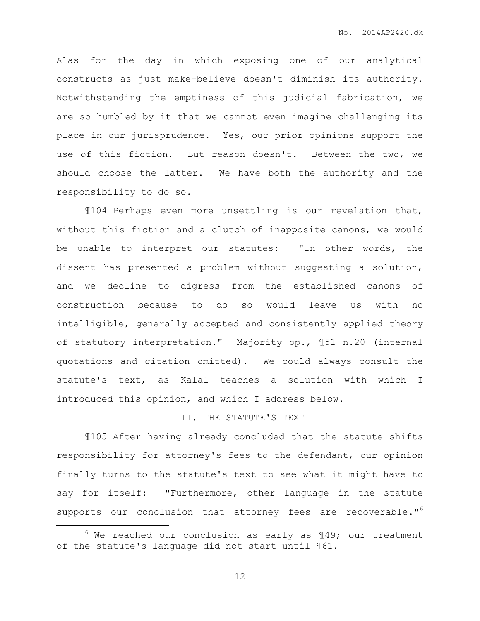Alas for the day in which exposing one of our analytical constructs as just make-believe doesn't diminish its authority. Notwithstanding the emptiness of this judicial fabrication, we are so humbled by it that we cannot even imagine challenging its place in our jurisprudence. Yes, our prior opinions support the use of this fiction. But reason doesn't. Between the two, we should choose the latter. We have both the authority and the responsibility to do so.

¶104 Perhaps even more unsettling is our revelation that, without this fiction and a clutch of inapposite canons, we would be unable to interpret our statutes: "In other words, the dissent has presented a problem without suggesting a solution, and we decline to digress from the established canons of construction because to do so would leave us with no intelligible, generally accepted and consistently applied theory of statutory interpretation." Majority op., ¶51 n.20 (internal quotations and citation omitted). We could always consult the statute's text, as Kalal teaches-a solution with which I introduced this opinion, and which I address below.

# III. THE STATUTE'S TEXT

¶105 After having already concluded that the statute shifts responsibility for attorney's fees to the defendant, our opinion finally turns to the statute's text to see what it might have to say for itself: "Furthermore, other language in the statute supports our conclusion that attorney fees are recoverable."<sup>6</sup>

 $\overline{a}$ 

 $6$  We reached our conclusion as early as  $149$ ; our treatment of the statute's language did not start until ¶61.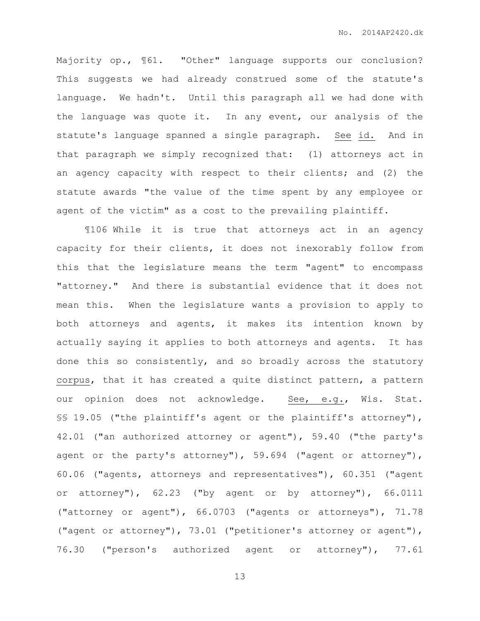Majority op., ¶61. "Other" language supports our conclusion? This suggests we had already construed some of the statute's language. We hadn't. Until this paragraph all we had done with the language was quote it. In any event, our analysis of the statute's language spanned a single paragraph. See id. And in that paragraph we simply recognized that: (1) attorneys act in an agency capacity with respect to their clients; and (2) the statute awards "the value of the time spent by any employee or agent of the victim" as a cost to the prevailing plaintiff.

¶106 While it is true that attorneys act in an agency capacity for their clients, it does not inexorably follow from this that the legislature means the term "agent" to encompass "attorney." And there is substantial evidence that it does not mean this. When the legislature wants a provision to apply to both attorneys and agents, it makes its intention known by actually saying it applies to both attorneys and agents. It has done this so consistently, and so broadly across the statutory corpus, that it has created a quite distinct pattern, a pattern our opinion does not acknowledge. See, e.g., Wis. Stat. §§ 19.05 ("the plaintiff's agent or the plaintiff's attorney"), 42.01 ("an authorized attorney or agent"), 59.40 ("the party's agent or the party's attorney"), 59.694 ("agent or attorney"), 60.06 ("agents, attorneys and representatives"), 60.351 ("agent or attorney"), 62.23 ("by agent or by attorney"), 66.0111 ("attorney or agent"), 66.0703 ("agents or attorneys"), 71.78 ("agent or attorney"), 73.01 ("petitioner's attorney or agent"), 76.30 ("person's authorized agent or attorney"), 77.61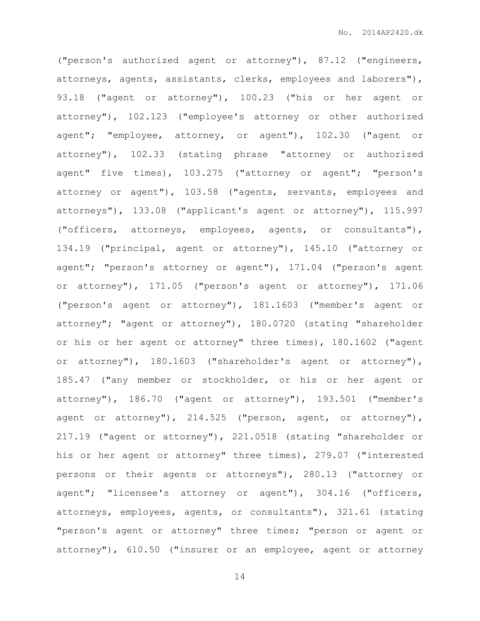("person's authorized agent or attorney"), 87.12 ("engineers, attorneys, agents, assistants, clerks, employees and laborers"), 93.18 ("agent or attorney"), 100.23 ("his or her agent or attorney"), 102.123 ("employee's attorney or other authorized agent"; "employee, attorney, or agent"), 102.30 ("agent or attorney"), 102.33 (stating phrase "attorney or authorized agent" five times), 103.275 ("attorney or agent"; "person's attorney or agent"), 103.58 ("agents, servants, employees and attorneys"), 133.08 ("applicant's agent or attorney"), 115.997 ("officers, attorneys, employees, agents, or consultants"), 134.19 ("principal, agent or attorney"), 145.10 ("attorney or agent"; "person's attorney or agent"), 171.04 ("person's agent or attorney"), 171.05 ("person's agent or attorney"), 171.06 ("person's agent or attorney"), 181.1603 ("member's agent or attorney"; "agent or attorney"), 180.0720 (stating "shareholder or his or her agent or attorney" three times), 180.1602 ("agent or attorney"), 180.1603 ("shareholder's agent or attorney"), 185.47 ("any member or stockholder, or his or her agent or attorney"), 186.70 ("agent or attorney"), 193.501 ("member's agent or attorney"), 214.525 ("person, agent, or attorney"), 217.19 ("agent or attorney"), 221.0518 (stating "shareholder or his or her agent or attorney" three times), 279.07 ("interested persons or their agents or attorneys"), 280.13 ("attorney or agent"; "licensee's attorney or agent"), 304.16 ("officers, attorneys, employees, agents, or consultants"), 321.61 (stating "person's agent or attorney" three times; "person or agent or attorney"), 610.50 ("insurer or an employee, agent or attorney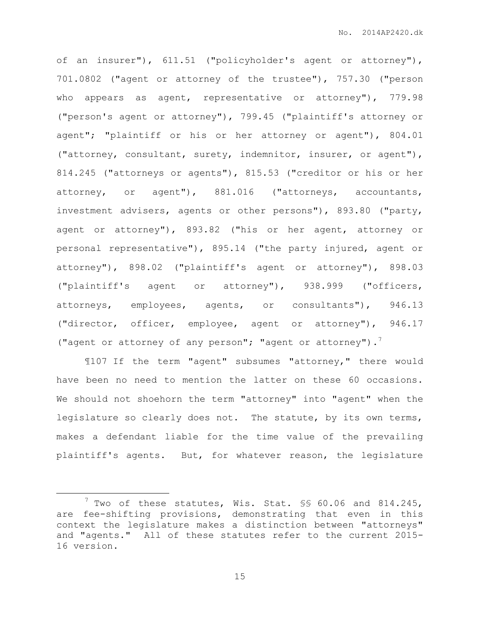of an insurer"), 611.51 ("policyholder's agent or attorney"), 701.0802 ("agent or attorney of the trustee"), 757.30 ("person who appears as agent, representative or attorney"), 779.98 ("person's agent or attorney"), 799.45 ("plaintiff's attorney or agent"; "plaintiff or his or her attorney or agent"), 804.01 ("attorney, consultant, surety, indemnitor, insurer, or agent"), 814.245 ("attorneys or agents"), 815.53 ("creditor or his or her attorney, or agent"), 881.016 ("attorneys, accountants, investment advisers, agents or other persons"), 893.80 ("party, agent or attorney"), 893.82 ("his or her agent, attorney or personal representative"), 895.14 ("the party injured, agent or attorney"), 898.02 ("plaintiff's agent or attorney"), 898.03 ("plaintiff's agent or attorney"), 938.999 ("officers, attorneys, employees, agents, or consultants"), 946.13 ("director, officer, employee, agent or attorney"), 946.17 ("agent or attorney of any person"; "agent or attorney"). 7

¶107 If the term "agent" subsumes "attorney," there would have been no need to mention the latter on these 60 occasions. We should not shoehorn the term "attorney" into "agent" when the legislature so clearly does not. The statute, by its own terms, makes a defendant liable for the time value of the prevailing plaintiff's agents. But, for whatever reason, the legislature

 $\overline{a}$ 

 $7$  Two of these statutes, Wis. Stat.  $\S$ \$ 60.06 and 814.245, are fee-shifting provisions, demonstrating that even in this context the legislature makes a distinction between "attorneys" and "agents." All of these statutes refer to the current 2015- 16 version.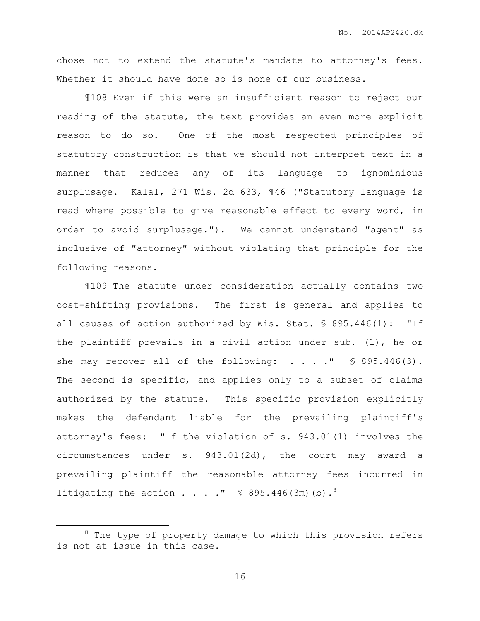chose not to extend the statute's mandate to attorney's fees. Whether it should have done so is none of our business.

¶108 Even if this were an insufficient reason to reject our reading of the statute, the text provides an even more explicit reason to do so. One of the most respected principles of statutory construction is that we should not interpret text in a manner that reduces any of its language to ignominious surplusage. Kalal, 271 Wis. 2d 633, ¶46 ("Statutory language is read where possible to give reasonable effect to every word, in order to avoid surplusage."). We cannot understand "agent" as inclusive of "attorney" without violating that principle for the following reasons.

¶109 The statute under consideration actually contains two cost-shifting provisions. The first is general and applies to all causes of action authorized by Wis. Stat. § 895.446(1): "If the plaintiff prevails in a civil action under sub. (1), he or she may recover all of the following:  $\ldots$  . . . "  $\lessgtr$  895.446(3). The second is specific, and applies only to a subset of claims authorized by the statute. This specific provision explicitly makes the defendant liable for the prevailing plaintiff's attorney's fees: "If the violation of s. 943.01(1) involves the circumstances under s. 943.01(2d), the court may award a prevailing plaintiff the reasonable attorney fees incurred in litigating the action . . . . "  $\text{\$ } 895.446 \text{ (3m)} \text{ (b)}.$ <sup>8</sup>

 $\overline{a}$ 

 $8$  The type of property damage to which this provision refers is not at issue in this case.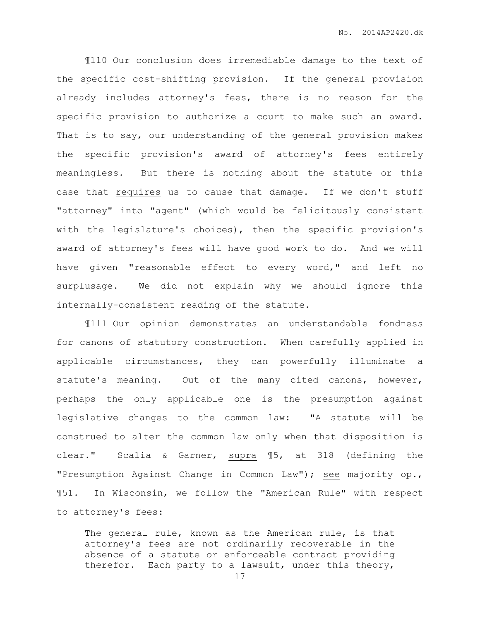¶110 Our conclusion does irremediable damage to the text of the specific cost-shifting provision. If the general provision already includes attorney's fees, there is no reason for the specific provision to authorize a court to make such an award. That is to say, our understanding of the general provision makes the specific provision's award of attorney's fees entirely meaningless. But there is nothing about the statute or this case that requires us to cause that damage. If we don't stuff "attorney" into "agent" (which would be felicitously consistent with the legislature's choices), then the specific provision's award of attorney's fees will have good work to do. And we will have given "reasonable effect to every word," and left no surplusage. We did not explain why we should ignore this internally-consistent reading of the statute.

¶111 Our opinion demonstrates an understandable fondness for canons of statutory construction. When carefully applied in applicable circumstances, they can powerfully illuminate a statute's meaning. Out of the many cited canons, however, perhaps the only applicable one is the presumption against legislative changes to the common law: "A statute will be construed to alter the common law only when that disposition is clear." Scalia & Garner, supra ¶5, at 318 (defining the "Presumption Against Change in Common Law"); see majority op., ¶51. In Wisconsin, we follow the "American Rule" with respect to attorney's fees:

The general rule, known as the American rule, is that attorney's fees are not ordinarily recoverable in the absence of a statute or enforceable contract providing therefor. Each party to a lawsuit, under this theory,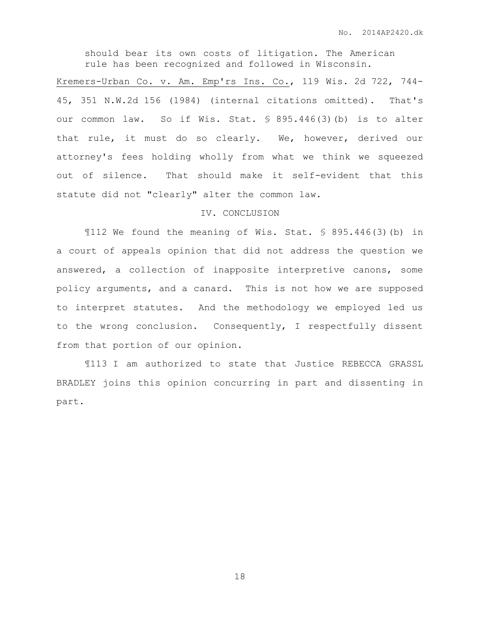should bear its own costs of litigation. The American rule has been recognized and followed in Wisconsin.

Kremers-Urban Co. v. Am. Emp'rs Ins. Co., 119 Wis. 2d 722, 744- 45, 351 N.W.2d 156 (1984) (internal citations omitted). That's our common law. So if Wis. Stat. § 895.446(3)(b) is to alter that rule, it must do so clearly. We, however, derived our attorney's fees holding wholly from what we think we squeezed out of silence. That should make it self-evident that this statute did not "clearly" alter the common law.

## IV. CONCLUSION

¶112 We found the meaning of Wis. Stat. § 895.446(3)(b) in a court of appeals opinion that did not address the question we answered, a collection of inapposite interpretive canons, some policy arguments, and a canard. This is not how we are supposed to interpret statutes. And the methodology we employed led us to the wrong conclusion. Consequently, I respectfully dissent from that portion of our opinion.

¶113 I am authorized to state that Justice REBECCA GRASSL BRADLEY joins this opinion concurring in part and dissenting in part.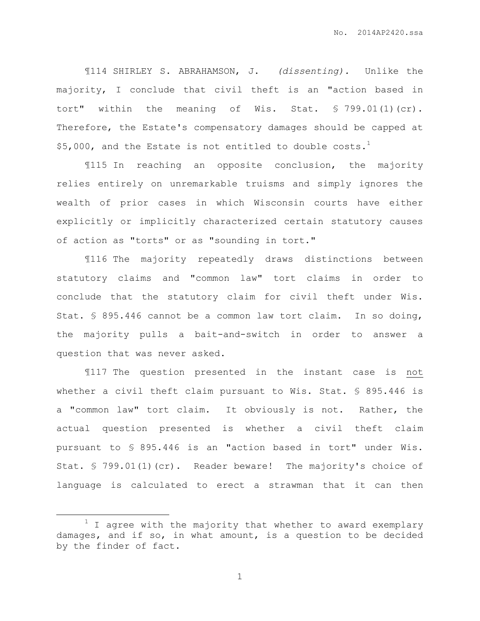¶114 SHIRLEY S. ABRAHAMSON, J. *(dissenting).* Unlike the majority, I conclude that civil theft is an "action based in tort" within the meaning of Wis. Stat. § 799.01(1)(cr). Therefore, the Estate's compensatory damages should be capped at \$5,000, and the Estate is not entitled to double  $costs.<sup>1</sup>$ 

¶115 In reaching an opposite conclusion, the majority relies entirely on unremarkable truisms and simply ignores the wealth of prior cases in which Wisconsin courts have either explicitly or implicitly characterized certain statutory causes of action as "torts" or as "sounding in tort."

¶116 The majority repeatedly draws distinctions between statutory claims and "common law" tort claims in order to conclude that the statutory claim for civil theft under Wis. Stat. § 895.446 cannot be a common law tort claim. In so doing, the majority pulls a bait-and-switch in order to answer a question that was never asked.

¶117 The question presented in the instant case is not whether a civil theft claim pursuant to Wis. Stat. § 895.446 is a "common law" tort claim. It obviously is not. Rather, the actual question presented is whether a civil theft claim pursuant to § 895.446 is an "action based in tort" under Wis. Stat. § 799.01(1)(cr). Reader beware! The majority's choice of language is calculated to erect a strawman that it can then

 $\overline{a}$ 

 $1$  I agree with the majority that whether to award exemplary damages, and if so, in what amount, is a question to be decided by the finder of fact.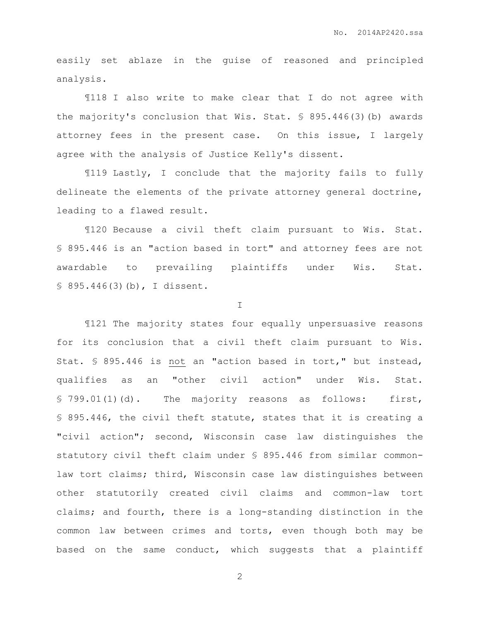easily set ablaze in the guise of reasoned and principled analysis.

¶118 I also write to make clear that I do not agree with the majority's conclusion that Wis. Stat. § 895.446(3)(b) awards attorney fees in the present case. On this issue, I largely agree with the analysis of Justice Kelly's dissent.

¶119 Lastly, I conclude that the majority fails to fully delineate the elements of the private attorney general doctrine, leading to a flawed result.

¶120 Because a civil theft claim pursuant to Wis. Stat. § 895.446 is an "action based in tort" and attorney fees are not awardable to prevailing plaintiffs under Wis. Stat. § 895.446(3)(b), I dissent.

I

¶121 The majority states four equally unpersuasive reasons for its conclusion that a civil theft claim pursuant to Wis. Stat. § 895.446 is not an "action based in tort," but instead, qualifies as an "other civil action" under Wis. Stat. § 799.01(1)(d). The majority reasons as follows: first, § 895.446, the civil theft statute, states that it is creating a "civil action"; second, Wisconsin case law distinguishes the statutory civil theft claim under § 895.446 from similar commonlaw tort claims; third, Wisconsin case law distinguishes between other statutorily created civil claims and common-law tort claims; and fourth, there is a long-standing distinction in the common law between crimes and torts, even though both may be based on the same conduct, which suggests that a plaintiff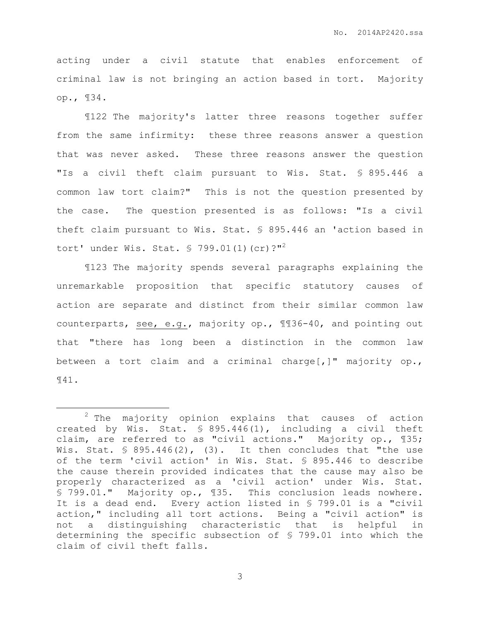acting under a civil statute that enables enforcement of criminal law is not bringing an action based in tort. Majority op., ¶34.

¶122 The majority's latter three reasons together suffer from the same infirmity: these three reasons answer a question that was never asked. These three reasons answer the question "Is a civil theft claim pursuant to Wis. Stat. § 895.446 a common law tort claim?" This is not the question presented by the case. The question presented is as follows: "Is a civil theft claim pursuant to Wis. Stat. § 895.446 an 'action based in tort' under Wis. Stat.  $\text{\$ }799.01(1)(cr)\text{?"}^2$ 

¶123 The majority spends several paragraphs explaining the unremarkable proposition that specific statutory causes of action are separate and distinct from their similar common law counterparts, see, e.g., majority op., ¶¶36-40, and pointing out that "there has long been a distinction in the common law between a tort claim and a criminal charge[,]" majority op., ¶41.

 $\overline{a}$ 

<sup>2</sup> The majority opinion explains that causes of action created by Wis. Stat. § 895.446(1), including a civil theft claim, are referred to as "civil actions." Majority op., ¶35; Wis. Stat.  $\frac{1}{5}$  895.446(2), (3). It then concludes that "the use of the term 'civil action' in Wis. Stat. § 895.446 to describe the cause therein provided indicates that the cause may also be properly characterized as a 'civil action' under Wis. Stat. § 799.01." Majority op., ¶35. This conclusion leads nowhere. It is a dead end. Every action listed in § 799.01 is a "civil action," including all tort actions. Being a "civil action" is not a distinguishing characteristic that is helpful in determining the specific subsection of § 799.01 into which the claim of civil theft falls.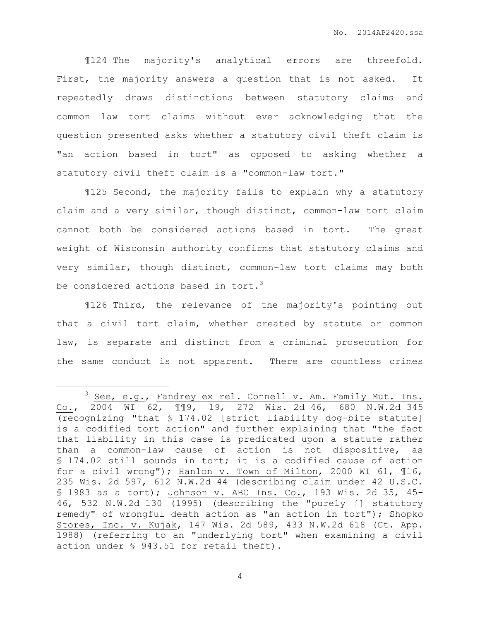¶124 The majority's analytical errors are threefold. First, the majority answers a question that is not asked. It repeatedly draws distinctions between statutory claims and common law tort claims without ever acknowledging that the question presented asks whether a statutory civil theft claim is "an action based in tort" as opposed to asking whether a statutory civil theft claim is a "common-law tort."

¶125 Second, the majority fails to explain why a statutory claim and a very similar, though distinct, common-law tort claim cannot both be considered actions based in tort. The great weight of Wisconsin authority confirms that statutory claims and very similar, though distinct, common-law tort claims may both be considered actions based in tort.<sup>3</sup>

¶126 Third, the relevance of the majority's pointing out that a civil tort claim, whether created by statute or common law, is separate and distinct from a criminal prosecution for the same conduct is not apparent. There are countless crimes

 $\overline{a}$ 

 $3$  See, e.g., Fandrey ex rel. Connell v. Am. Family Mut. Ins. Co., 2004 WI 62, ¶¶9, 19, 272 Wis. 2d 46, 680 N.W.2d 345 (recognizing "that § 174.02 [strict liability dog-bite statute] is a codified tort action" and further explaining that "the fact that liability in this case is predicated upon a statute rather than a common-law cause of action is not dispositive, as § 174.02 still sounds in tort; it is a codified cause of action for a civil wrong"); Hanlon v. Town of Milton, 2000 WI 61, ¶16, 235 Wis. 2d 597, 612 N.W.2d 44 (describing claim under 42 U.S.C. § 1983 as a tort); Johnson v. ABC Ins. Co., 193 Wis. 2d 35, 45- 46, 532 N.W.2d 130 (1995) (describing the "purely [] statutory remedy" of wrongful death action as "an action in tort"); Shopko Stores, Inc. v. Kujak, 147 Wis. 2d 589, 433 N.W.2d 618 (Ct. App. 1988) (referring to an "underlying tort" when examining a civil action under § 943.51 for retail theft).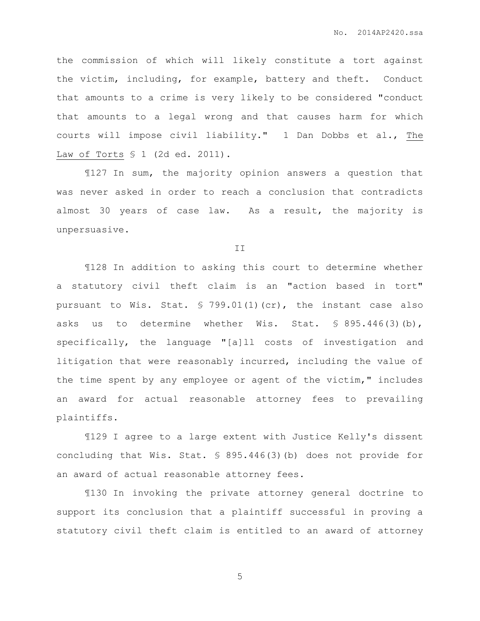the commission of which will likely constitute a tort against the victim, including, for example, battery and theft. Conduct that amounts to a crime is very likely to be considered "conduct that amounts to a legal wrong and that causes harm for which courts will impose civil liability." 1 Dan Dobbs et al., The Law of Torts § 1 (2d ed. 2011).

¶127 In sum, the majority opinion answers a question that was never asked in order to reach a conclusion that contradicts almost 30 years of case law. As a result, the majority is unpersuasive.

II

¶128 In addition to asking this court to determine whether a statutory civil theft claim is an "action based in tort" pursuant to Wis. Stat.  $\frac{1}{5}$  799.01(1)(cr), the instant case also asks us to determine whether Wis. Stat. § 895.446(3)(b), specifically, the language "[a]ll costs of investigation and litigation that were reasonably incurred, including the value of the time spent by any employee or agent of the victim," includes an award for actual reasonable attorney fees to prevailing plaintiffs.

¶129 I agree to a large extent with Justice Kelly's dissent concluding that Wis. Stat. § 895.446(3)(b) does not provide for an award of actual reasonable attorney fees.

¶130 In invoking the private attorney general doctrine to support its conclusion that a plaintiff successful in proving a statutory civil theft claim is entitled to an award of attorney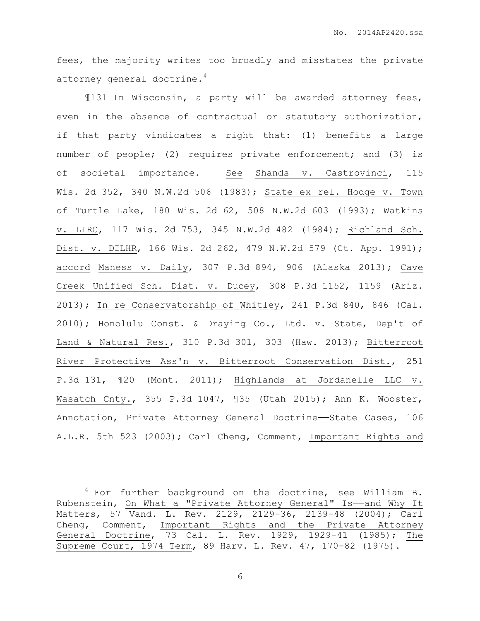fees, the majority writes too broadly and misstates the private attorney general doctrine.<sup>4</sup>

¶131 In Wisconsin, a party will be awarded attorney fees, even in the absence of contractual or statutory authorization, if that party vindicates a right that: (1) benefits a large number of people; (2) requires private enforcement; and (3) is of societal importance. See Shands v. Castrovinci, 115 Wis. 2d 352, 340 N.W.2d 506 (1983); State ex rel. Hodge v. Town of Turtle Lake, 180 Wis. 2d 62, 508 N.W.2d 603 (1993); Watkins v. LIRC, 117 Wis. 2d 753, 345 N.W.2d 482 (1984); Richland Sch. Dist. v. DILHR, 166 Wis. 2d 262, 479 N.W.2d 579 (Ct. App. 1991); accord Maness v. Daily, 307 P.3d 894, 906 (Alaska 2013); Cave Creek Unified Sch. Dist. v. Ducey, 308 P.3d 1152, 1159 (Ariz. 2013); In re Conservatorship of Whitley, 241 P.3d 840, 846 (Cal. 2010); Honolulu Const. & Draying Co., Ltd. v. State, Dep't of Land & Natural Res., 310 P.3d 301, 303 (Haw. 2013); Bitterroot River Protective Ass'n v. Bitterroot Conservation Dist., 251 P.3d 131, ¶20 (Mont. 2011); Highlands at Jordanelle LLC v. Wasatch Cnty., 355 P.3d 1047, ¶35 (Utah 2015); Ann K. Wooster, Annotation, Private Attorney General Doctrine——State Cases, 106 A.L.R. 5th 523 (2003); Carl Cheng, Comment, Important Rights and

 $\overline{a}$ 

 $4$  For further background on the doctrine, see William B. Rubenstein, On What a "Private Attorney General" Is——and Why It Matters, 57 Vand. L. Rev. 2129, 2129-36, 2139-48 (2004); Carl Cheng, Comment, Important Rights and the Private Attorney General Doctrine, 73 Cal. L. Rev. 1929, 1929-41 (1985); The Supreme Court, 1974 Term, 89 Harv. L. Rev. 47, 170-82 (1975).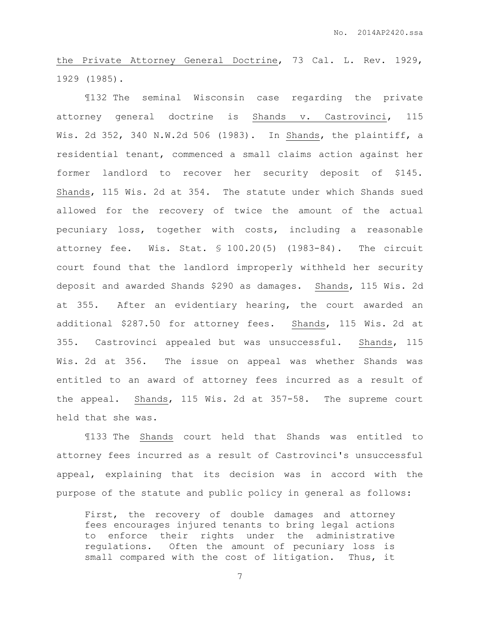the Private Attorney General Doctrine, 73 Cal. L. Rev. 1929, 1929 (1985).

¶132 The seminal Wisconsin case regarding the private attorney general doctrine is Shands v. Castrovinci, 115 Wis. 2d 352, 340 N.W.2d 506 (1983). In Shands, the plaintiff, a residential tenant, commenced a small claims action against her former landlord to recover her security deposit of \$145. Shands, 115 Wis. 2d at 354. The statute under which Shands sued allowed for the recovery of twice the amount of the actual pecuniary loss, together with costs, including a reasonable attorney fee. Wis. Stat. § 100.20(5) (1983-84). The circuit court found that the landlord improperly withheld her security deposit and awarded Shands \$290 as damages. Shands, 115 Wis. 2d at 355. After an evidentiary hearing, the court awarded an additional \$287.50 for attorney fees. Shands, 115 Wis. 2d at 355. Castrovinci appealed but was unsuccessful. Shands, 115 Wis. 2d at 356. The issue on appeal was whether Shands was entitled to an award of attorney fees incurred as a result of the appeal. Shands, 115 Wis. 2d at 357-58. The supreme court held that she was.

¶133 The Shands court held that Shands was entitled to attorney fees incurred as a result of Castrovinci's unsuccessful appeal, explaining that its decision was in accord with the purpose of the statute and public policy in general as follows:

First, the recovery of double damages and attorney fees encourages injured tenants to bring legal actions to enforce their rights under the administrative regulations. Often the amount of pecuniary loss is small compared with the cost of litigation. Thus, it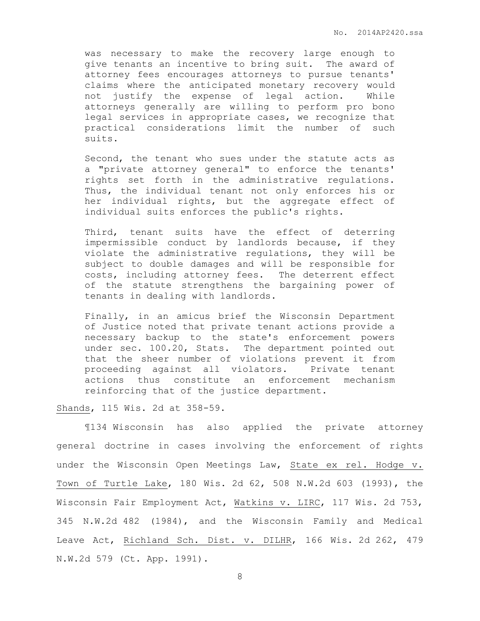was necessary to make the recovery large enough to give tenants an incentive to bring suit. The award of attorney fees encourages attorneys to pursue tenants' claims where the anticipated monetary recovery would not justify the expense of legal action. While attorneys generally are willing to perform pro bono legal services in appropriate cases, we recognize that practical considerations limit the number of such suits.

Second, the tenant who sues under the statute acts as a "private attorney general" to enforce the tenants' rights set forth in the administrative regulations. Thus, the individual tenant not only enforces his or her individual rights, but the aggregate effect of individual suits enforces the public's rights.

Third, tenant suits have the effect of deterring impermissible conduct by landlords because, if they violate the administrative regulations, they will be subject to double damages and will be responsible for costs, including attorney fees. The deterrent effect of the statute strengthens the bargaining power of tenants in dealing with landlords.

Finally, in an amicus brief the Wisconsin Department of Justice noted that private tenant actions provide a necessary backup to the state's enforcement powers under sec. 100.20, Stats. The department pointed out that the sheer number of violations prevent it from proceeding against all violators. Private tenant actions thus constitute an enforcement mechanism reinforcing that of the justice department.

Shands, 115 Wis. 2d at 358-59.

¶134 Wisconsin has also applied the private attorney general doctrine in cases involving the enforcement of rights under the Wisconsin Open Meetings Law, State ex rel. Hodge v. Town of Turtle Lake, 180 Wis. 2d 62, 508 N.W.2d 603 (1993), the Wisconsin Fair Employment Act, Watkins v. LIRC, 117 Wis. 2d 753, 345 N.W.2d 482 (1984), and the Wisconsin Family and Medical Leave Act, Richland Sch. Dist. v. DILHR, 166 Wis. 2d 262, 479 N.W.2d 579 (Ct. App. 1991).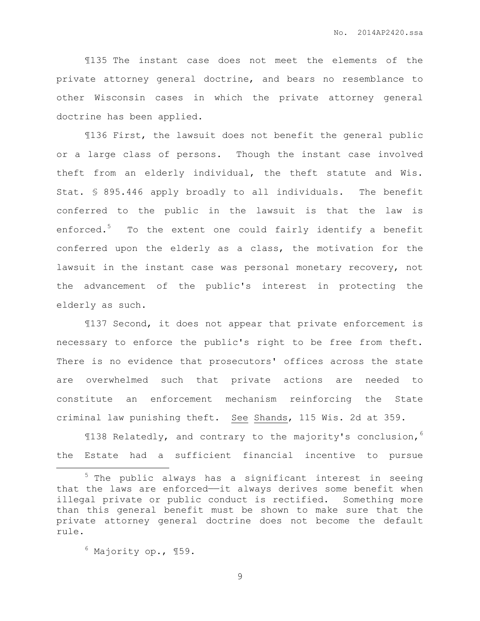¶135 The instant case does not meet the elements of the private attorney general doctrine, and bears no resemblance to other Wisconsin cases in which the private attorney general doctrine has been applied.

¶136 First, the lawsuit does not benefit the general public or a large class of persons. Though the instant case involved theft from an elderly individual, the theft statute and Wis. Stat. § 895.446 apply broadly to all individuals. The benefit conferred to the public in the lawsuit is that the law is enforced.<sup>5</sup> To the extent one could fairly identify a benefit conferred upon the elderly as a class, the motivation for the lawsuit in the instant case was personal monetary recovery, not the advancement of the public's interest in protecting the elderly as such.

¶137 Second, it does not appear that private enforcement is necessary to enforce the public's right to be free from theft. There is no evidence that prosecutors' offices across the state are overwhelmed such that private actions are needed to constitute an enforcement mechanism reinforcing the State criminal law punishing theft. See Shands, 115 Wis. 2d at 359.

¶138 Relatedly, and contrary to the majority's conclusion,<sup>6</sup> the Estate had a sufficient financial incentive to pursue

 $6$  Majority op., 159.

 $\overline{a}$ 

<sup>5</sup> The public always has a significant interest in seeing that the laws are enforced——it always derives some benefit when illegal private or public conduct is rectified. Something more than this general benefit must be shown to make sure that the private attorney general doctrine does not become the default rule.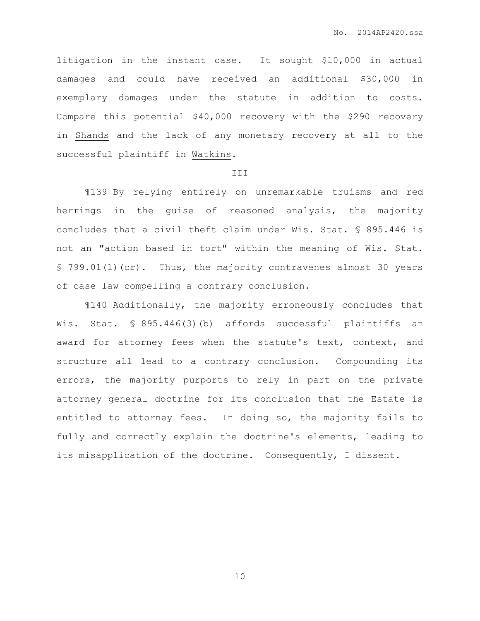litigation in the instant case. It sought \$10,000 in actual damages and could have received an additional \$30,000 in exemplary damages under the statute in addition to costs. Compare this potential \$40,000 recovery with the \$290 recovery in Shands and the lack of any monetary recovery at all to the successful plaintiff in Watkins.

#### III

¶139 By relying entirely on unremarkable truisms and red herrings in the guise of reasoned analysis, the majority concludes that a civil theft claim under Wis. Stat. § 895.446 is not an "action based in tort" within the meaning of Wis. Stat. § 799.01(1)(cr). Thus, the majority contravenes almost 30 years of case law compelling a contrary conclusion.

¶140 Additionally, the majority erroneously concludes that Wis. Stat. § 895.446(3)(b) affords successful plaintiffs an award for attorney fees when the statute's text, context, and structure all lead to a contrary conclusion. Compounding its errors, the majority purports to rely in part on the private attorney general doctrine for its conclusion that the Estate is entitled to attorney fees. In doing so, the majority fails to fully and correctly explain the doctrine's elements, leading to its misapplication of the doctrine. Consequently, I dissent.